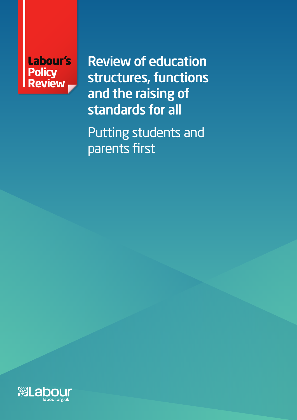

Review of education structures, functions and the raising of standards for all

Putting students and parents first

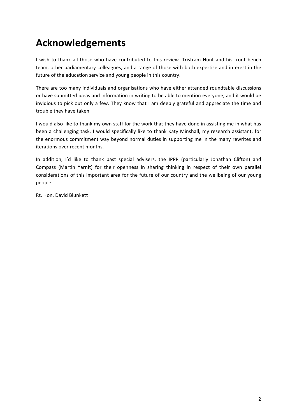# **Acknowledgements**

I wish to thank all those who have contributed to this review. Tristram Hunt and his front bench team, other parliamentary colleagues, and a range of those with both expertise and interest in the future of the education service and young people in this country.

There are too many individuals and organisations who have either attended roundtable discussions or have submitted ideas and information in writing to be able to mention everyone, and it would be invidious to pick out only a few. They know that I am deeply grateful and appreciate the time and trouble they have taken.

I would also like to thank my own staff for the work that they have done in assisting me in what has been a challenging task. I would specifically like to thank Katy Minshall, my research assistant, for the enormous commitment way beyond normal duties in supporting me in the many rewrites and iterations over recent months.

In addition, I'd like to thank past special advisers, the IPPR (particularly Jonathan Clifton) and Compass (Martin Yarnit) for their openness in sharing thinking in respect of their own parallel considerations of this important area for the future of our country and the wellbeing of our young people.

Rt. Hon. David Blunkett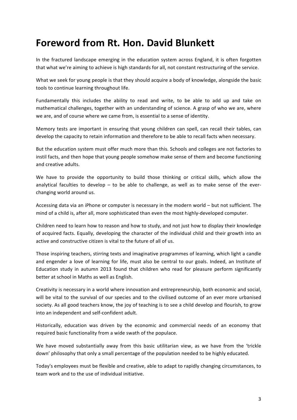# **Foreword from Rt. Hon. David Blunkett**

In the fractured landscape emerging in the education system across England, it is often forgotten that what we're aiming to achieve is high standards for all, not constant restructuring of the service.

What we seek for young people is that they should acquire a body of knowledge, alongside the basic tools to continue learning throughout life.

Fundamentally this includes the ability to read and write, to be able to add up and take on mathematical challenges, together with an understanding of science. A grasp of who we are, where we are, and of course where we came from, is essential to a sense of identity.

Memory tests are important in ensuring that young children can spell, can recall their tables, can develop the capacity to retain information and therefore to be able to recall facts when necessary.

But the education system must offer much more than this. Schools and colleges are not factories to instil facts, and then hope that young people somehow make sense of them and become functioning and creative adults.

We have to provide the opportunity to build those thinking or critical skills, which allow the analytical faculties to develop – to be able to challenge, as well as to make sense of the everchanging world around us.

Accessing data via an iPhone or computer is necessary in the modern world - but not sufficient. The mind of a child is, after all, more sophisticated than even the most highly-developed computer.

Children need to learn how to reason and how to study, and not just how to display their knowledge of acquired facts. Equally, developing the character of the individual child and their growth into an active and constructive citizen is vital to the future of all of us.

Those inspiring teachers, stirring texts and imaginative programmes of learning, which light a candle and engender a love of learning for life, must also be central to our goals. Indeed, an Institute of Education study in autumn 2013 found that children who read for pleasure perform significantly better at school in Maths as well as English.

Creativity is necessary in a world where innovation and entrepreneurship, both economic and social, will be vital to the survival of our species and to the civilised outcome of an ever more urbanised society. As all good teachers know, the joy of teaching is to see a child develop and flourish, to grow into an independent and self-confident adult.

Historically, education was driven by the economic and commercial needs of an economy that required basic functionality from a wide swath of the populace.

We have moved substantially away from this basic utilitarian view, as we have from the 'trickle down' philosophy that only a small percentage of the population needed to be highly educated.

Today's employees must be flexible and creative, able to adapt to rapidly changing circumstances, to team work and to the use of individual initiative.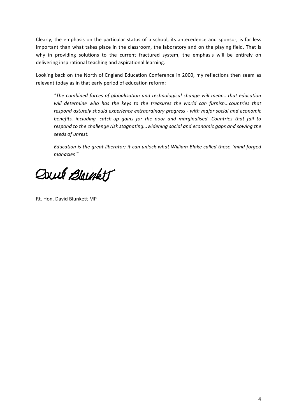Clearly, the emphasis on the particular status of a school, its antecedence and sponsor, is far less important than what takes place in the classroom, the laboratory and on the playing field. That is why in providing solutions to the current fractured system, the emphasis will be entirely on delivering inspirational teaching and aspirational learning.

Looking back on the North of England Education Conference in 2000, my reflections then seem as relevant today as in that early period of education reform:

"The combined forces of globalisation and technological change will mean...that education will determine who has the keys to the treasures the world can furnish...countries that *respond astutely should experience extraordinary progress - with major social and economic benefits, including catch-up gains for the poor and marginalised. Countries that fail to* respond to the challenge risk stagnating...widening social and economic gaps and sowing the *seeds of unrest.*

*Education is the great liberator; it can unlock what William Blake called those `mind-forged manacles'"*

Doul Blackt

Rt. Hon. David Blunkett MP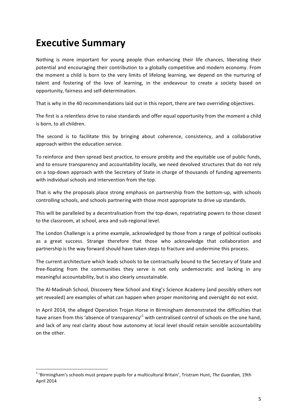## **Executive Summary**

Nothing is more important for young people than enhancing their life chances, liberating their potential and encouraging their contribution to a globally competitive and modern economy. From the moment a child is born to the very limits of lifelong learning, we depend on the nurturing of talent and fostering of the love of learning, in the endeavour to create a society based on opportunity, fairness and self-determination.

That is why in the 40 recommendations laid out in this report, there are two overriding objectives.

The first is a relentless drive to raise standards and offer equal opportunity from the moment a child is born, to all children.

The second is to facilitate this by bringing about coherence, consistency, and a collaborative approach within the education service.

To reinforce and then spread best practice, to ensure probity and the equitable use of public funds, and to ensure transparency and accountability locally, we need devolved structures that do not rely on a top-down approach with the Secretary of State in charge of thousands of funding agreements with individual schools and intervention from the top.

That is why the proposals place strong emphasis on partnership from the bottom-up, with schools controlling schools, and schools partnering with those most appropriate to drive up standards.

This will be paralleled by a decentralisation from the top-down, repatriating powers to those closest to the classroom, at school, area and sub-regional level.

The London Challenge is a prime example, acknowledged by those from a range of political outlooks as a great success. Strange therefore that those who acknowledge that collaboration and partnership is the way forward should have taken steps to fracture and undermine this process.

The current architecture which leads schools to be contractually bound to the Secretary of State and free-floating from the communities they serve is not only undemocratic and lacking in any meaningful accountability, but is also clearly unsustainable.

The Al-Madinah School, Discovery New School and King's Science Academy (and possibly others not yet revealed) are examples of what can happen when proper monitoring and oversight do not exist.

In April 2014, the alleged Operation Trojan Horse in Birmingham demonstrated the difficulties that have arisen from this 'absence of transparency'<sup>1</sup> with centralised control of schools on the one hand, and lack of any real clarity about how autonomy at local level should retain sensible accountability on the other.

<sup>&</sup>lt;sup>1</sup> 'Birmingham's schools must prepare pupils for a multicultural Britain', Tristram Hunt, The Guardian, 19th April 2014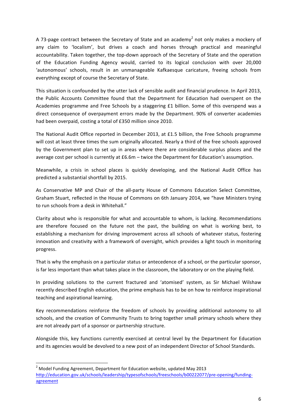A 73-page contract between the Secretary of State and an academy<sup>2</sup> not only makes a mockery of any claim to 'localism', but drives a coach and horses through practical and meaningful accountability. Taken together, the top-down approach of the Secretary of State and the operation of the Education Funding Agency would, carried to its logical conclusion with over 20,000 'autonomous' schools, result in an unmanageable Kafkaesque caricature, freeing schools from everything except of course the Secretary of State.

This situation is confounded by the utter lack of sensible audit and financial prudence. In April 2013, the Public Accounts Committee found that the Department for Education had overspent on the Academies programme and Free Schools by a staggering £1 billion. Some of this overspend was a direct consequence of overpayment errors made by the Department. 90% of converter academies had been overpaid, costing a total of £350 million since 2010.

The National Audit Office reported in December 2013, at £1.5 billion, the Free Schools programme will cost at least three times the sum originally allocated. Nearly a third of the free schools approved by the Government plan to set up in areas where there are considerable surplus places and the average cost per school is currently at £6.6m – twice the Department for Education's assumption.

Meanwhile, a crisis in school places is quickly developing, and the National Audit Office has predicted a substantial shortfall by 2015.

As Conservative MP and Chair of the all-party House of Commons Education Select Committee, Graham Stuart, reflected in the House of Commons on 6th January 2014, we "have Ministers trying to run schools from a desk in Whitehall."

Clarity about who is responsible for what and accountable to whom, is lacking. Recommendations are therefore focused on the future not the past, the building on what is working best, to establishing a mechanism for driving improvement across all schools of whatever status, fostering innovation and creativity with a framework of oversight, which provides a light touch in monitoring progress.

That is why the emphasis on a particular status or antecedence of a school, or the particular sponsor, is far less important than what takes place in the classroom, the laboratory or on the playing field.

In providing solutions to the current fractured and 'atomised' system, as Sir Michael Wilshaw recently described English education, the prime emphasis has to be on how to reinforce inspirational teaching and aspirational learning.

Key recommendations reinforce the freedom of schools by providing additional autonomy to all schools, and the creation of Community Trusts to bring together small primary schools where they are not already part of a sponsor or partnership structure.

Alongside this, key functions currently exercised at central level by the Department for Education and its agencies would be devolved to a new post of an independent Director of School Standards.

 $2$  Model Funding Agreement, Department for Education website, updated May 2013 http://education.gov.uk/schools/leadership/typesofschools/freeschools/b00222077/pre-opening/fundingagreement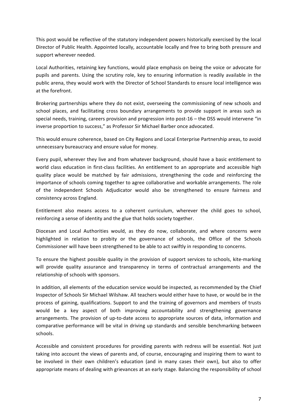This post would be reflective of the statutory independent powers historically exercised by the local Director of Public Health. Appointed locally, accountable locally and free to bring both pressure and support wherever needed.

Local Authorities, retaining key functions, would place emphasis on being the voice or advocate for pupils and parents. Using the scrutiny role, key to ensuring information is readily available in the public arena, they would work with the Director of School Standards to ensure local intelligence was at the forefront.

Brokering partnerships where they do not exist, overseeing the commissioning of new schools and school places, and facilitating cross boundary arrangements to provide support in areas such as special needs, training, careers provision and progression into post-16 – the DSS would intervene "in inverse proportion to success," as Professor Sir Michael Barber once advocated.

This would ensure coherence, based on City Regions and Local Enterprise Partnership areas, to avoid unnecessary bureaucracy and ensure value for money.

Every pupil, wherever they live and from whatever background, should have a basic entitlement to world class education in first-class facilities. An entitlement to an appropriate and accessible high quality place would be matched by fair admissions, strengthening the code and reinforcing the importance of schools coming together to agree collaborative and workable arrangements. The role of the independent Schools Adjudicator would also be strengthened to ensure fairness and consistency across England.

Entitlement also means access to a coherent curriculum, wherever the child goes to school, reinforcing a sense of identity and the glue that holds society together.

Diocesan and Local Authorities would, as they do now, collaborate, and where concerns were highlighted in relation to probity or the governance of schools, the Office of the Schools Commissioner will have been strengthened to be able to act swiftly in responding to concerns.

To ensure the highest possible quality in the provision of support services to schools, kite-marking will provide quality assurance and transparency in terms of contractual arrangements and the relationship of schools with sponsors.

In addition, all elements of the education service would be inspected, as recommended by the Chief Inspector of Schools Sir Michael Wilshaw. All teachers would either have to have, or would be in the process of gaining, qualifications. Support to and the training of governors and members of trusts would be a key aspect of both improving accountability and strengthening governance arrangements. The provision of up-to-date access to appropriate sources of data, information and comparative performance will be vital in driving up standards and sensible benchmarking between schools.

Accessible and consistent procedures for providing parents with redress will be essential. Not just taking into account the views of parents and, of course, encouraging and inspiring them to want to be involved in their own children's education (and in many cases their own), but also to offer appropriate means of dealing with grievances at an early stage. Balancing the responsibility of school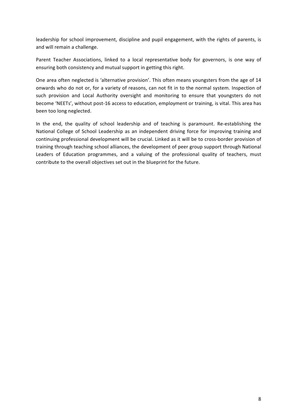leadership for school improvement, discipline and pupil engagement, with the rights of parents, is and will remain a challenge.

Parent Teacher Associations, linked to a local representative body for governors, is one way of ensuring both consistency and mutual support in getting this right.

One area often neglected is 'alternative provision'. This often means youngsters from the age of 14 onwards who do not or, for a variety of reasons, can not fit in to the normal system. Inspection of such provision and Local Authority oversight and monitoring to ensure that youngsters do not become 'NEETs', without post-16 access to education, employment or training, is vital. This area has been too long neglected.

In the end, the quality of school leadership and of teaching is paramount. Re-establishing the National College of School Leadership as an independent driving force for improving training and continuing professional development will be crucial. Linked as it will be to cross-border provision of training through teaching school alliances, the development of peer group support through National Leaders of Education programmes, and a valuing of the professional quality of teachers, must contribute to the overall objectives set out in the blueprint for the future.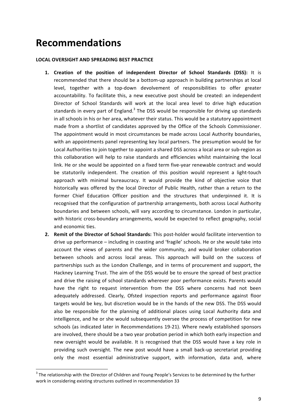## **Recommendations**

<u> 1989 - Jan Samuel Barbara, margaret e</u>

### LOCAL OVERSIGHT AND SPREADING BEST PRACTICE

- **1.** Creation of the position of independent Director of School Standards (DSS): It is recommended that there should be a bottom-up approach in building partnerships at local level, together with a top-down devolvement of responsibilities to offer greater accountability. To facilitate this, a new executive post should be created: an independent Director of School Standards will work at the local area level to drive high education standards in every part of England.<sup>3</sup> The DSS would be responsible for driving up standards in all schools in his or her area, whatever their status. This would be a statutory appointment made from a shortlist of candidates approved by the Office of the Schools Commissioner. The appointment would in most circumstances be made across Local Authority boundaries, with an appointments panel representing key local partners. The presumption would be for Local Authorities to join together to appoint a shared DSS across a local area or sub-region as this collaboration will help to raise standards and efficiencies whilst maintaining the local link. He or she would be appointed on a fixed term five-year renewable contract and would be statutorily independent. The creation of this position would represent a light-touch approach with minimal bureaucracy. It would provide the kind of objective voice that historically was offered by the local Director of Public Health, rather than a return to the former Chief Education Officer position and the structures that underpinned it. It is recognised that the configuration of partnership arrangements, both across Local Authority boundaries and between schools, will vary according to circumstance. London in particular, with historic cross-boundary arrangements, would be expected to reflect geography, social and economic ties.
- **2.** Remit of the Director of School Standards: This post-holder would facilitate intervention to drive up performance – including in coasting and 'fragile' schools. He or she would take into account the views of parents and the wider community, and would broker collaboration between schools and across local areas. This approach will build on the success of partnerships such as the London Challenge, and in terms of procurement and support, the Hackney Learning Trust. The aim of the DSS would be to ensure the spread of best practice and drive the raising of school standards wherever poor performance exists. Parents would have the right to request intervention from the DSS where concerns had not been adequately addressed. Clearly, Ofsted inspection reports and performance against floor targets would be key, but discretion would be in the hands of the new DSS. The DSS would also be responsible for the planning of additional places using Local Authority data and intelligence, and he or she would subsequently oversee the process of competition for new schools (as indicated later in Recommendations 19-21). Where newly established sponsors are involved, there should be a two year probation period in which both early inspection and new oversight would be available. It is recognised that the DSS would have a key role in providing such oversight. The new post would have a small back-up secretariat providing only the most essential administrative support, with information, data and, where

 $3$  The relationship with the Director of Children and Young People's Services to be determined by the further work in considering existing structures outlined in recommendation 33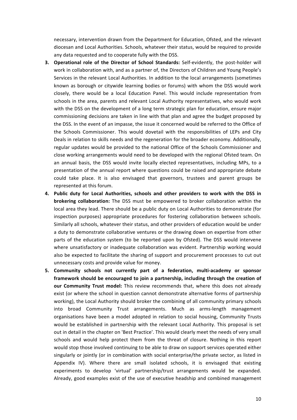necessary, intervention drawn from the Department for Education, Ofsted, and the relevant diocesan and Local Authorities. Schools, whatever their status, would be required to provide any data requested and to cooperate fully with the DSS.

- **3. Operational role of the Director of School Standards:** Self-evidently, the post-holder will work in collaboration with, and as a partner of, the Directors of Children and Young People's Services in the relevant Local Authorities. In addition to the local arrangements (sometimes known as borough or citywide learning bodies or forums) with whom the DSS would work closely, there would be a local Education Panel. This would include representation from schools in the area, parents and relevant Local Authority representatives, who would work with the DSS on the development of a long term strategic plan for education, ensure major commissioning decisions are taken in line with that plan and agree the budget proposed by the DSS. In the event of an impasse, the issue it concerned would be referred to the Office of the Schools Commissioner. This would dovetail with the responsibilities of LEPs and City Deals in relation to skills needs and the regeneration for the broader economy. Additionally, regular updates would be provided to the national Office of the Schools Commissioner and close working arrangements would need to be developed with the regional Ofsted team. On an annual basis, the DSS would invite locally elected representatives, including MPs, to a presentation of the annual report where questions could be raised and appropriate debate could take place. It is also envisaged that governors, trustees and parent groups be represented at this forum.
- 4. Public duty for Local Authorities, schools and other providers to work with the DSS in **brokering collaboration:** The DSS must be empowered to broker collaboration within the local area they lead. There should be a public duty on Local Authorities to demonstrate (for inspection purposes) appropriate procedures for fostering collaboration between schools. Similarly all schools, whatever their status, and other providers of education would be under a duty to demonstrate collaborative ventures or the drawing down on expertise from other parts of the education system (to be reported upon by Ofsted). The DSS would intervene where unsatisfactory or inadequate collaboration was evident. Partnership working would also be expected to facilitate the sharing of support and procurement processes to cut out unnecessary costs and provide value for money.
- 5. Community schools not currently part of a federation, multi-academy or sponsor framework should be encouraged to join a partnership, including through the creation of our Community Trust model: This review recommends that, where this does not already exist (or where the school in question cannot demonstrate alternative forms of partnership working), the Local Authority should broker the combining of all community primary schools into broad Community Trust arrangements. Much as arms-length management organisations have been a model adopted in relation to social housing, Community Trusts would be established in partnership with the relevant Local Authority. This proposal is set out in detail in the chapter on 'Best Practice'. This would clearly meet the needs of very small schools and would help protect them from the threat of closure. Nothing in this report would stop those involved continuing to be able to draw on support services operated either singularly or jointly (or in combination with social enterprise/the private sector, as listed in Appendix IV). Where there are small isolated schools, it is envisaged that existing experiments to develop 'virtual' partnership/trust arrangements would be expanded. Already, good examples exist of the use of executive headship and combined management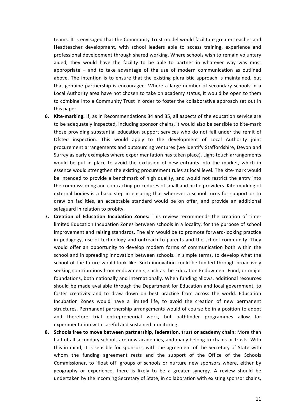teams. It is envisaged that the Community Trust model would facilitate greater teacher and Headteacher development, with school leaders able to access training, experience and professional development through shared working. Where schools wish to remain voluntary aided, they would have the facility to be able to partner in whatever way was most appropriate  $-$  and to take advantage of the use of modern communication as outlined above. The intention is to ensure that the existing pluralistic approach is maintained, but that genuine partnership is encouraged. Where a large number of secondary schools in a Local Authority area have not chosen to take on academy status, it would be open to them to combine into a Community Trust in order to foster the collaborative approach set out in this paper.

- **6.** Kite-marking: If, as in Recommendations 34 and 35, all aspects of the education service are to be adequately inspected, including sponsor chains, it would also be sensible to kite-mark those providing substantial education support services who do not fall under the remit of Ofsted inspection. This would apply to the development of Local Authority joint procurement arrangements and outsourcing ventures (we identify Staffordshire, Devon and Surrey as early examples where experimentation has taken place). Light-touch arrangements would be put in place to avoid the exclusion of new entrants into the market, which in essence would strengthen the existing procurement rules at local level. The kite-mark would be intended to provide a benchmark of high quality, and would not restrict the entry into the commissioning and contracting procedures of small and niche providers. Kite-marking of external bodies is a basic step in ensuring that wherever a school turns for support or to draw on facilities, an acceptable standard would be on offer, and provide an additional safeguard in relation to probity.
- **7.** Creation of Education Incubation Zones: This review recommends the creation of timelimited Education Incubation Zones between schools in a locality, for the purpose of school improvement and raising standards. The aim would be to promote forward-looking practice in pedagogy, use of technology and outreach to parents and the school community. They would offer an opportunity to develop modern forms of communication both within the school and in spreading innovation between schools. In simple terms, to develop what the school of the future would look like. Such innovation could be funded through proactively seeking contributions from endowments, such as the Education Endowment Fund, or major foundations, both nationally and internationally. When funding allows, additional resources should be made available through the Department for Education and local government, to foster creativity and to draw down on best practice from across the world. Education Incubation Zones would have a limited life, to avoid the creation of new permanent structures. Permanent partnership arrangements would of course be in a position to adopt and therefore trial entrepreneurial work, but pathfinder programmes allow for experimentation with careful and sustained monitoring.
- **8.** Schools free to move between partnership, federation, trust or academy chain: More than half of all secondary schools are now academies, and many belong to chains or trusts. With this in mind, it is sensible for sponsors, with the agreement of the Secretary of State with whom the funding agreement rests and the support of the Office of the Schools Commissioner, to 'float off' groups of schools or nurture new sponsors where, either by geography or experience, there is likely to be a greater synergy. A review should be undertaken by the incoming Secretary of State, in collaboration with existing sponsor chains,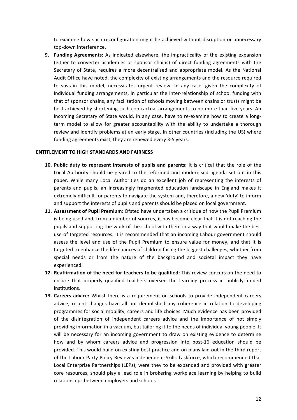to examine how such reconfiguration might be achieved without disruption or unnecessary top-down interference.

**9. Funding Agreements:** As indicated elsewhere, the impracticality of the existing expansion (either to converter academies or sponsor chains) of direct funding agreements with the Secretary of State, requires a more decentralised and appropriate model. As the National Audit Office have noted, the complexity of existing arrangements and the resource required to sustain this model, necessitates urgent review. In any case, given the complexity of individual funding arrangements, in particular the inter-relationship of school funding with that of sponsor chains, any facilitation of schools moving between chains or trusts might be best achieved by shortening such contractual arrangements to no more than five years. An incoming Secretary of State would, in any case, have to re-examine how to create a longterm model to allow for greater accountability with the ability to undertake a thorough review and identify problems at an early stage. In other countries (including the US) where funding agreements exist, they are renewed every 3-5 years.

#### **ENTITLEMENT TO HIGH STANDARDS AND FAIRNESS**

- **10.** Public duty to represent interests of pupils and parents: It is critical that the role of the Local Authority should be geared to the reformed and modernised agenda set out in this paper. While many Local Authorities do an excellent job of representing the interests of parents and pupils, an increasingly fragmented education landscape in England makes it extremely difficult for parents to navigate the system and, therefore, a new 'duty' to inform and support the interests of pupils and parents should be placed on local government.
- **11. Assessment of Pupil Premium:** Ofsted have undertaken a critique of how the Pupil Premium is being used and, from a number of sources, it has become clear that it is not reaching the pupils and supporting the work of the school with them in a way that would make the best use of targeted resources. It is recommended that an incoming Labour government should assess the level and use of the Pupil Premium to ensure value for money, and that it is targeted to enhance the life chances of children facing the biggest challenges, whether from special needs or from the nature of the background and societal impact they have experienced.
- **12. Reaffirmation of the need for teachers to be qualified:** This review concurs on the need to ensure that properly qualified teachers oversee the learning process in publicly-funded institutions.
- **13. Careers advice:** Whilst there is a requirement on schools to provide independent careers advice, recent changes have all but demolished any coherence in relation to developing programmes for social mobility, careers and life choices. Much evidence has been provided of the disintegration of independent careers advice and the importance of not simply providing information in a vacuum, but tailoring it to the needs of individual young people. It will be necessary for an incoming government to draw on existing evidence to determine how and by whom careers advice and progression into post-16 education should be provided. This would build on existing best practice and on plans laid out in the third report of the Labour Party Policy Review's independent Skills Taskforce, which recommended that Local Enterprise Partnerships (LEPs), were they to be expanded and provided with greater core resources, should play a lead role in brokering workplace learning by helping to build relationships between employers and schools.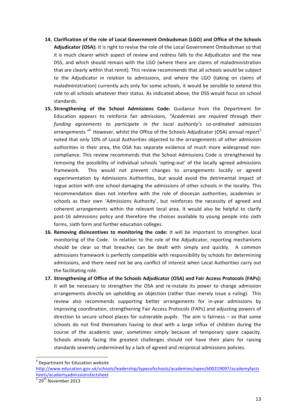- 14. Clarification of the role of Local Government Ombudsman (LGO) and Office of the Schools Adjudicator (OSA): It is right to revise the role of the Local Government Ombudsman so that it is much clearer which aspect of review and redress falls to the Adjudicator and the new DSS, and which should remain with the LGO (where there are claims of maladministration that are clearly within that remit). This review recommends that all schools would be subject to the Adjudicator in relation to admissions, and where the LGO (taking on claims of maladministration) currently acts only for some schools, it would be sensible to extend this role to all schools whatever their status. As indicated above, the DSS would focus on school standards.
- **15. Strengthening of the School Admissions Code:** Guidance from the Department for Education appears to reinforce fair admissions, "Academies are required through their funding agreements to participate in the local authority's co-ordinated admission *arrangements.*<sup>"</sup><sup>4</sup> However, whilst the Office of the Schools Adjudicator (OSA) annual report<sup>5</sup> noted that only 10% of Local Authorities objected to the arrangements of other admission authorities in their area, the OSA has separate evidence of much more widespread noncompliance. This review recommends that the School Admissions Code is strengthened by removing the possibility of individual schools 'opting-out' of the locally agreed admissions framework. This would not prevent changes to arrangements locally or agreed experimentation by Admissions Authorities, but would avoid the detrimental impact of rogue action with one school damaging the admissions of other schools in the locality. This recommendation does not interfere with the role of diocesan authorities, academies or schools as their own 'Admissions Authority', but reinforces the necessity of agreed and coherent arrangements within the relevant local area. It would also be helpful to clarify post-16 admissions policy and therefore the choices available to young people into sixth forms, sixth form and further education colleges.
- **16. Removing disincentives to monitoring the code:** It will be important to strengthen local monitoring of the Code. In relation to the role of the Adjudicator, reporting mechanisms should be clear so that breaches can be dealt with simply and quickly. A common admissions framework is perfectly compatible with responsibility by schools for determining admissions, and there need not be any conflict of interest when Local Authorities carry out the facilitating role.
- **17.** Strengthening of Office of the Schools Adjudicator (OSA) and Fair Access Protocols (FAPs): It will be necessary to strengthen the OSA and re-instate its power to change admission arrangements directly on upholding an objection (rather than merely issue a ruling). This review also recommends supporting better arrangements for in-year admissions by improving coordination, strengthening Fair Access Protocols (FAPs) and adjusting powers of direction to secure school places for vulnerable pupils. The aim is fairness  $-$  so that some schools do not find themselves having to deal with a large influx of children during the course of the academic year, sometimes simply because of temporary spare capacity. Schools already facing the greatest challenges should not have their plans for raising standards severely undermined by a lack of agreed and reciprocal admissions policies.

 $4$  Department for Education website

http://www.education.gov.uk/schools/leadership/typesofschools/academies/open/b00219097/academyfacts heets/academyadmissionsfactsheet

 $\frac{5}{2}$  29<sup>th</sup> November 2013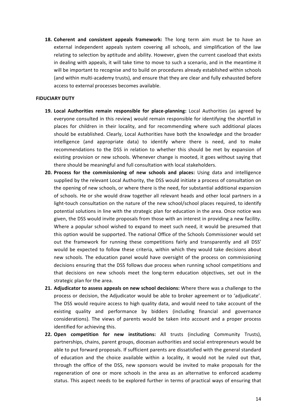**18. Coherent and consistent appeals framework:** The long term aim must be to have an external independent appeals system covering all schools, and simplification of the law relating to selection by aptitude and ability. However, given the current caseload that exists in dealing with appeals, it will take time to move to such a scenario, and in the meantime it will be important to recognise and to build on procedures already established within schools (and within multi-academy trusts), and ensure that they are clear and fully exhausted before access to external processes becomes available.

### **FIDUCIARY DUTY**

- **19. Local Authorities remain responsible for place-planning:** Local Authorities (as agreed by everyone consulted in this review) would remain responsible for identifying the shortfall in places for children in their locality, and for recommending where such additional places should be established. Clearly, Local Authorities have both the knowledge and the broader intelligence (and appropriate data) to identify where there is need, and to make recommendations to the DSS in relation to whether this should be met by expansion of existing provision or new schools. Whenever change is mooted, it goes without saying that there should be meaningful and full consultation with local stakeholders.
- **20.** Process for the commissioning of new schools and places: Using data and intelligence supplied by the relevant Local Authority, the DSS would initiate a process of consultation on the opening of new schools, or where there is the need, for substantial additional expansion of schools. He or she would draw together all relevant heads and other local partners in a light-touch consultation on the nature of the new school/school places required, to identify potential solutions in line with the strategic plan for education in the area. Once notice was given, the DSS would invite proposals from those with an interest in providing a new facility. Where a popular school wished to expand to meet such need, it would be presumed that this option would be supported. The national Office of the Schools Commissioner would set out the framework for running these competitions fairly and transparently and all DSS' would be expected to follow these criteria, within which they would take decisions about new schools. The education panel would have oversight of the process on commissioning decisions ensuring that the DSS follows due process when running school competitions and that decisions on new schools meet the long-term education objectives, set out in the strategic plan for the area.
- **21.** Adjudicator to assess appeals on new school decisions: Where there was a challenge to the process or decision, the Adjudicator would be able to broker agreement or to 'adjudicate'. The DSS would require access to high quality data, and would need to take account of the existing quality and performance by bidders (including financial and governance considerations). The views of parents would be taken into account and a proper process identified for achieving this.
- **22. Open competition for new institutions:** All trusts (including Community Trusts), partnerships, chains, parent groups, diocesan authorities and social entrepreneurs would be able to put forward proposals. If sufficient parents are dissatisfied with the general standard of education and the choice available within a locality, it would not be ruled out that, through the office of the DSS, new sponsors would be invited to make proposals for the regeneration of one or more schools in the area as an alternative to enforced academy status. This aspect needs to be explored further in terms of practical ways of ensuring that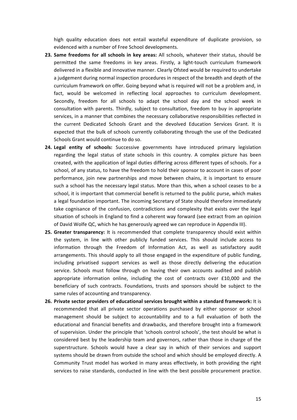high quality education does not entail wasteful expenditure of duplicate provision, so evidenced with a number of Free School developments.

- **23.** Same freedoms for all schools in key areas: All schools, whatever their status, should be permitted the same freedoms in key areas. Firstly, a light-touch curriculum framework delivered in a flexible and innovative manner. Clearly Ofsted would be required to undertake a judgement during normal inspection procedures in respect of the breadth and depth of the curriculum framework on offer. Going beyond what is required will not be a problem and, in fact, would be welcomed in reflecting local approaches to curriculum development. Secondly, freedom for all schools to adapt the school day and the school week in consultation with parents. Thirdly, subject to consultation, freedom to buy in appropriate services, in a manner that combines the necessary collaborative responsibilities reflected in the current Dedicated Schools Grant and the devolved Education Services Grant. It is expected that the bulk of schools currently collaborating through the use of the Dedicated Schools Grant would continue to do so.
- **24. Legal entity of schools:** Successive governments have introduced primary legislation regarding the legal status of state schools in this country. A complex picture has been created, with the application of legal duties differing across different types of schools. For a school, of any status, to have the freedom to hold their sponsor to account in cases of poor performance, join new partnerships and move between chains, it is important to ensure such a school has the necessary legal status. More than this, when a school ceases to be a school, it is important that commercial benefit is returned to the public purse, which makes a legal foundation important. The incoming Secretary of State should therefore immediately take cognisance of the confusion, contradictions and complexity that exists over the legal situation of schools in England to find a coherent way forward (see extract from an opinion of David Wolfe QC, which he has generously agreed we can reproduce in Appendix III).
- **25. Greater transparency:** It is recommended that complete transparency should exist within the system, in line with other publicly funded services. This should include access to information through the Freedom of Information Act, as well as satisfactory audit arrangements. This should apply to all those engaged in the expenditure of public funding, including privatised support services as well as those directly delivering the education service. Schools must follow through on having their own accounts audited and publish appropriate information online, including the cost of contracts over  $£10,000$  and the beneficiary of such contracts. Foundations, trusts and sponsors should be subject to the same rules of accounting and transparency.
- **26.** Private sector providers of educational services brought within a standard framework: It is recommended that all private sector operations purchased by either sponsor or school management should be subject to accountability and to a full evaluation of both the educational and financial benefits and drawbacks, and therefore brought into a framework of supervision. Under the principle that 'schools control schools', the test should be what is considered best by the leadership team and governors, rather than those in charge of the superstructure. Schools would have a clear say in which of their services and support systems should be drawn from outside the school and which should be employed directly. A Community Trust model has worked in many areas effectively, in both providing the right services to raise standards, conducted in line with the best possible procurement practice.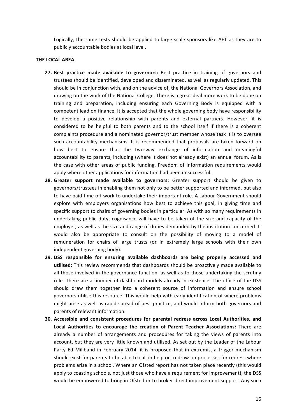Logically, the same tests should be applied to large scale sponsors like AET as they are to publicly accountable bodies at local level.

#### **THE LOCAL AREA**

- **27.** Best practice made available to governors: Best practice in training of governors and trustees should be identified, developed and disseminated, as well as regularly updated. This should be in conjunction with, and on the advice of, the National Governors Association, and drawing on the work of the National College. There is a great deal more work to be done on training and preparation, including ensuring each Governing Body is equipped with a competent lead on finance. It is accepted that the whole governing body have responsibility to develop a positive relationship with parents and external partners. However, it is considered to be helpful to both parents and to the school itself if there is a coherent complaints procedure and a nominated governor/trust member whose task it is to oversee such accountability mechanisms. It is recommended that proposals are taken forward on how best to ensure that the two-way exchange of information and meaningful accountability to parents, including (where it does not already exist) an annual forum. As is the case with other areas of public funding, Freedom of Information requirements would apply where other applications for information had been unsuccessful.
- **28.** Greater support made available to governors: Greater support should be given to governors/trustees in enabling them not only to be better supported and informed, but also to have paid time off work to undertake their important role. A Labour Government should explore with employers organisations how best to achieve this goal, in giving time and specific support to chairs of governing bodies in particular. As with so many requirements in undertaking public duty, cognisance will have to be taken of the size and capacity of the employer, as well as the size and range of duties demanded by the institution concerned. It would also be appropriate to consult on the possibility of moving to a model of remuneration for chairs of large trusts (or in extremely large schools with their own independent governing body).
- 29. DSS responsible for ensuring available dashboards are being properly accessed and **utilised:** This review recommends that dashboards should be proactively made available to all those involved in the governance function, as well as to those undertaking the scrutiny role. There are a number of dashboard models already in existence. The office of the DSS should draw them together into a coherent source of information and ensure school governors utilise this resource. This would help with early identification of where problems might arise as well as rapid spread of best practice, and would inform both governors and parents of relevant information.
- **30. Accessible and consistent procedures for parental redress across Local Authorities, and** Local Authorities to encourage the creation of Parent Teacher Associations: There are already a number of arrangements and procedures for taking the views of parents into account, but they are very little known and utilised. As set out by the Leader of the Labour Party Ed Miliband in February 2014, it is proposed that in extremis, a trigger mechanism should exist for parents to be able to call in help or to draw on processes for redress where problems arise in a school. Where an Ofsted report has not taken place recently (this would apply to coasting schools, not just those who have a requirement for improvement), the DSS would be empowered to bring in Ofsted or to broker direct improvement support. Any such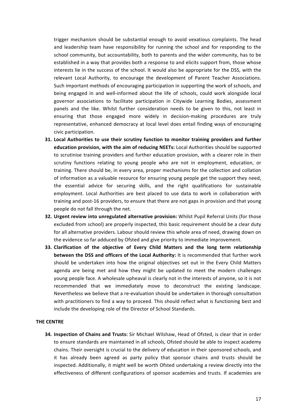trigger mechanism should be substantial enough to avoid vexatious complaints. The head and leadership team have responsibility for running the school and for responding to the school community, but accountability, both to parents and the wider community, has to be established in a way that provides both a response to and elicits support from, those whose interests lie in the success of the school. It would also be appropriate for the DSS, with the relevant Local Authority, to encourage the development of Parent Teacher Associations. Such important methods of encouraging participation in supporting the work of schools, and being engaged in and well-informed about the life of schools, could work alongside local governor associations to facilitate participation in Citywide Learning Bodies, assessment panels and the like. Whilst further consideration needs to be given to this, not least in ensuring that those engaged more widely in decision-making procedures are truly representative, enhanced democracy at local level does entail finding ways of encouraging civic participation.

- **31.** Local Authorities to use their scrutiny function to monitor training providers and further **education provision, with the aim of reducing NEETs:** Local Authorities should be supported to scrutinise training providers and further education provision, with a clearer role in their scrutiny functions relating to young people who are not in employment, education, or training. There should be, in every area, proper mechanisms for the collection and collation of information as a valuable resource for ensuring young people get the support they need, the essential advice for securing skills, and the right qualifications for sustainable employment. Local Authorities are best placed to use data to work in collaboration with training and post-16 providers, to ensure that there are not gaps in provision and that young people do not fall through the net.
- **32. Urgent review into unregulated alternative provision:** Whilst Pupil Referral Units (for those excluded from school) are properly inspected, this basic requirement should be a clear duty for all alternative providers. Labour should review this whole area of need, drawing down on the evidence so far adduced by Ofsted and give priority to immediate improvement.
- **33. Clarification of the objective of Every Child Matters and the long term relationship between the DSS and officers of the Local Authority:** It is recommended that further work should be undertaken into how the original objectives set out in the Every Child Matters agenda are being met and how they might be updated to meet the modern challenges young people face. A wholesale upheaval is clearly not in the interests of anyone, so it is not recommended that we immediately move to deconstruct the existing landscape. Nevertheless we believe that a re-evaluation should be undertaken in thorough consultation with practitioners to find a way to proceed. This should reflect what is functioning best and include the developing role of the Director of School Standards.

#### **THE CENTRE**

**34. Inspection of Chains and Trusts:** Sir Michael Wilshaw, Head of Ofsted, is clear that in order to ensure standards are maintained in all schools, Ofsted should be able to inspect academy chains. Their oversight is crucial to the delivery of education in their sponsored schools, and it has already been agreed as party policy that sponsor chains and trusts should be inspected. Additionally, it might well be worth Ofsted undertaking a review directly into the effectiveness of different configurations of sponsor academies and trusts. If academies are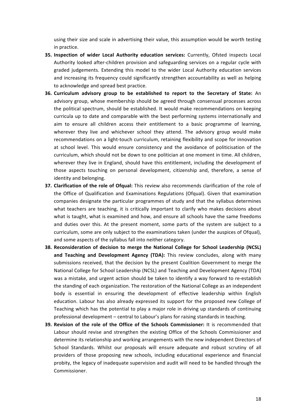using their size and scale in advertising their value, this assumption would be worth testing in practice.

- **35.** Inspection of wider Local Authority education services: Currently, Ofsted inspects Local Authority looked after-children provision and safeguarding services on a regular cycle with graded judgements. Extending this model to the wider Local Authority education services and increasing its frequency could significantly strengthen accountability as well as helping to acknowledge and spread best practice.
- **36.** Curriculum advisory group to be established to report to the Secretary of State: An advisory group, whose membership should be agreed through consensual processes across the political spectrum, should be established. It would make recommendations on keeping curricula up to date and comparable with the best performing systems internationally and aim to ensure all children access their entitlement to a basic programme of learning, wherever they live and whichever school they attend. The advisory group would make recommendations on a light-touch curriculum, retaining flexibility and scope for innovation at school level. This would ensure consistency and the avoidance of politicisation of the curriculum, which should not be down to one politician at one moment in time. All children, wherever they live in England, should have this entitlement, including the development of those aspects touching on personal development, citizenship and, therefore, a sense of identity and belonging.
- **37. Clarification of the role of Ofqual:** This review also recommends clarification of the role of the Office of Qualification and Examinations Regulations (Ofqual). Given that examination companies designate the particular programmes of study and that the syllabus determines what teachers are teaching, it is critically important to clarify who makes decisions about what is taught, what is examined and how, and ensure all schools have the same freedoms and duties over this. At the present moment, some parts of the system are subject to a curriculum, some are only subject to the examinations taken (under the auspices of Ofqual), and some aspects of the syllabus fall into neither category.
- **38.** Reconsideration of decision to merge the National College for School Leadership (NCSL) and Teaching and Development Agency (TDA): This review concludes, along with many submissions received, that the decision by the present Coalition Government to merge the National College for School Leadership (NCSL) and Teaching and Development Agency (TDA) was a mistake, and urgent action should be taken to identify a way forward to re-establish the standing of each organization. The restoration of the National College as an independent body is essential in ensuring the development of effective leadership within English education. Labour has also already expressed its support for the proposed new College of Teaching which has the potential to play a major role in driving up standards of continuing professional development – central to Labour's plans for raising standards in teaching.
- **39. Revision of the role of the Office of the Schools Commissioner:** It is recommended that Labour should revise and strengthen the existing Office of the Schools Commissioner and determine its relationship and working arrangements with the new independent Directors of School Standards. Whilst our proposals will ensure adequate and robust scrutiny of all providers of those proposing new schools, including educational experience and financial probity, the legacy of inadequate supervision and audit will need to be handled through the Commissioner.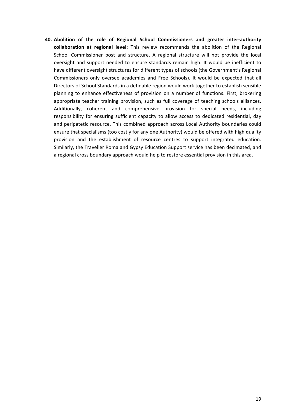40. Abolition of the role of Regional School Commissioners and greater inter-authority collaboration at regional level: This review recommends the abolition of the Regional School Commissioner post and structure. A regional structure will not provide the local oversight and support needed to ensure standards remain high. It would be inefficient to have different oversight structures for different types of schools (the Government's Regional Commissioners only oversee academies and Free Schools). It would be expected that all Directors of School Standards in a definable region would work together to establish sensible planning to enhance effectiveness of provision on a number of functions. First, brokering appropriate teacher training provision, such as full coverage of teaching schools alliances. Additionally, coherent and comprehensive provision for special needs, including responsibility for ensuring sufficient capacity to allow access to dedicated residential, day and peripatetic resource. This combined approach across Local Authority boundaries could ensure that specialisms (too costly for any one Authority) would be offered with high quality provision and the establishment of resource centres to support integrated education. Similarly, the Traveller Roma and Gypsy Education Support service has been decimated, and a regional cross boundary approach would help to restore essential provision in this area.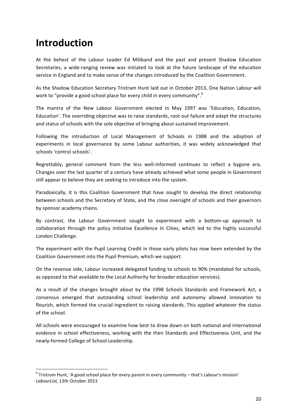# **Introduction**

At the behest of the Labour Leader Ed Miliband and the past and present Shadow Education Secretaries, a wide-ranging review was initiated to look at the future landscape of the education service in England and to make sense of the changes introduced by the Coalition Government.

As the Shadow Education Secretary Tristram Hunt laid out in October 2013, One Nation Labour will work to "provide a good school place for every child in every community".  $6$ 

The mantra of the New Labour Government elected in May 1997 was 'Education, Education, Education'. The overriding objective was to raise standards, root out failure and adapt the structures and status of schools with the sole objective of bringing about sustained improvement.

Following the introduction of Local Management of Schools in 1988 and the adoption of experiments in local governance by some Labour authorities, it was widely acknowledged that schools 'control schools'.

Regrettably, general comment from the less well-informed continues to reflect a bygone era. Changes over the last quarter of a century have already achieved what some people in Government still appear to believe they are seeking to introduce into the system.

Paradoxically, it is this Coalition Government that have sought to develop the direct relationship between schools and the Secretary of State, and the close oversight of schools and their governors by sponsor academy chains.

By contrast, the Labour Government sought to experiment with a bottom-up approach to collaboration through the policy initiative Excellence In Cities, which led to the highly successful London Challenge.

The experiment with the Pupil Learning Credit in those early pilots has now been extended by the Coalition Government into the Pupil Premium, which we support.

On the revenue side, Labour increased delegated funding to schools to 90% (mandated for schools, as opposed to that available to the Local Authority for broader education services).

As a result of the changes brought about by the 1998 Schools Standards and Framework Act, a consensus emerged that outstanding school leadership and autonomy allowed innovation to flourish, which formed the crucial ingredient to raising standards. This applied whatever the status of the school.

All schools were encouraged to examine how best to draw down on both national and international evidence in school effectiveness, working with the then Standards and Effectiveness Unit, and the newly-formed College of School Leadership.

 $6$  Tristram Hunt, 'A good school place for every parent in every community – that's Labour's mission' LabourList, 13th October 2013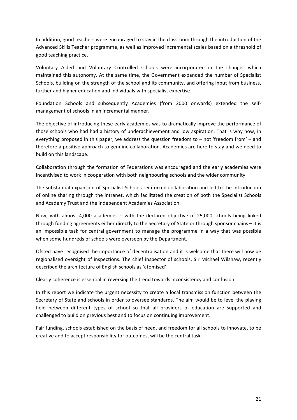In addition, good teachers were encouraged to stay in the classroom through the introduction of the Advanced Skills Teacher programme, as well as improved incremental scales based on a threshold of good teaching practice.

Voluntary Aided and Voluntary Controlled schools were incorporated in the changes which maintained this autonomy. At the same time, the Government expanded the number of Specialist Schools, building on the strength of the school and its community, and offering input from business, further and higher education and individuals with specialist expertise.

Foundation Schools and subsequently Academies (from 2000 onwards) extended the selfmanagement of schools in an incremental manner.

The objective of introducing these early academies was to dramatically improve the performance of those schools who had had a history of underachievement and low aspiration. That is why now, in everything proposed in this paper, we address the question freedom to – not 'freedom from' – and therefore a positive approach to genuine collaboration. Academies are here to stay and we need to build on this landscape.

Collaboration through the formation of Federations was encouraged and the early academies were incentivised to work in cooperation with both neighbouring schools and the wider community.

The substantial expansion of Specialist Schools reinforced collaboration and led to the introduction of online sharing through the intranet, which facilitated the creation of both the Specialist Schools and Academy Trust and the Independent Academies Association.

Now, with almost  $4,000$  academies  $-$  with the declared objective of 25,000 schools being linked through funding agreements either directly to the Secretary of State or through sponsor chains – it is an impossible task for central government to manage the programme in a way that was possible when some hundreds of schools were overseen by the Department.

Ofsted have recognised the importance of decentralisation and it is welcome that there will now be regionalised oversight of inspections. The chief inspector of schools, Sir Michael Wilshaw, recently described the architecture of English schools as 'atomised'.

Clearly coherence is essential in reversing the trend towards inconsistency and confusion.

In this report we indicate the urgent necessity to create a local transmission function between the Secretary of State and schools in order to oversee standards. The aim would be to level the playing field between different types of school so that all providers of education are supported and challenged to build on previous best and to focus on continuing improvement.

Fair funding, schools established on the basis of need, and freedom for all schools to innovate, to be creative and to accept responsibility for outcomes, will be the central task.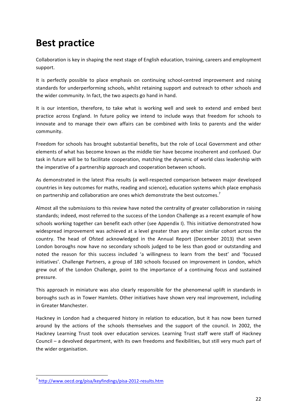# **Best practice**

Collaboration is key in shaping the next stage of English education, training, careers and employment support.

It is perfectly possible to place emphasis on continuing school-centred improvement and raising standards for underperforming schools, whilst retaining support and outreach to other schools and the wider community. In fact, the two aspects go hand in hand.

It is our intention, therefore, to take what is working well and seek to extend and embed best practice across England. In future policy we intend to include ways that freedom for schools to innovate and to manage their own affairs can be combined with links to parents and the wider community. 

Freedom for schools has brought substantial benefits, but the role of Local Government and other elements of what has become known as the middle tier have become incoherent and confused. Our task in future will be to facilitate cooperation, matching the dynamic of world class leadership with the imperative of a partnership approach and cooperation between schools.

As demonstrated in the latest Pisa results (a well-respected comparison between major developed countries in key outcomes for maths, reading and science), education systems which place emphasis on partnership and collaboration are ones which demonstrate the best outcomes.<sup>7</sup>

Almost all the submissions to this review have noted the centrality of greater collaboration in raising standards; indeed, most referred to the success of the London Challenge as a recent example of how schools working together can benefit each other (see Appendix I). This initiative demonstrated how widespread improvement was achieved at a level greater than any other similar cohort across the country. The head of Ofsted acknowledged in the Annual Report (December 2013) that seven London boroughs now have no secondary schools judged to be less than good or outstanding and noted the reason for this success included 'a willingness to learn from the best' and 'focused initiatives'. Challenge Partners, a group of 180 schools focused on improvement in London, which grew out of the London Challenge, point to the importance of a continuing focus and sustained pressure.

This approach in miniature was also clearly responsible for the phenomenal uplift in standards in boroughs such as in Tower Hamlets. Other initiatives have shown very real improvement, including in Greater Manchester.

Hackney in London had a chequered history in relation to education, but it has now been turned around by the actions of the schools themselves and the support of the council. In 2002, the Hackney Learning Trust took over education services. Learning Trust staff were staff of Hackney Council – a devolved department, with its own freedoms and flexibilities, but still very much part of the wider organisation.

<sup>7</sup> http://www.oecd.org/pisa/keyfindings/pisa-2012-results.htm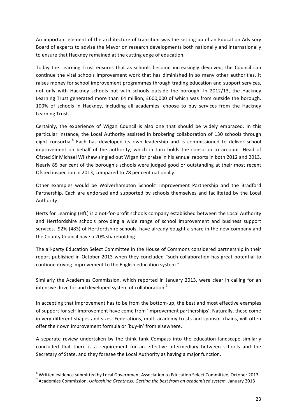An important element of the architecture of transition was the setting up of an Education Advisory Board of experts to advise the Mayor on research developments both nationally and internationally to ensure that Hackney remained at the cutting edge of education.

Today the Learning Trust ensures that as schools become increasingly devolved, the Council can continue the vital schools improvement work that has diminished in so many other authorities. It raises money for school improvement programmes through trading education and support services, not only with Hackney schools but with schools outside the borough. In 2012/13, the Hackney Learning Trust generated more than £4 million, £600,000 of which was from outside the borough. 100% of schools in Hackney, including all academies, choose to buy services from the Hackney Learning Trust.

Certainly, the experience of Wigan Council is also one that should be widely embraced. In this particular instance, the Local Authority assisted in brokering collaboration of 130 schools through eight consortia.<sup>8</sup> Each has developed its own leadership and is commissioned to deliver school improvement on behalf of the authority, which in turn holds the consortia to account. Head of Ofsted Sir Michael Wilshaw singled out Wigan for praise in his annual reports in both 2012 and 2013. Nearly 85 per cent of the borough's schools were judged good or outstanding at their most recent Ofsted inspection in 2013, compared to 78 per cent nationally.

Other examples would be Wolverhampton Schools' Improvement Partnership and the Bradford Partnership. Each are endorsed and supported by schools themselves and facilitated by the Local Authority.

Herts for Learning (HfL) is a not-for-profit schools company established between the Local Authority and Hertfordshire schools providing a wide range of school improvement and business support services. 92% (483) of Hertfordshire schools, have already bought a share in the new company and the County Council have a 20% shareholding.

The all-party Education Select Committee in the House of Commons considered partnership in their report published in October 2013 when they concluded "such collaboration has great potential to continue driving improvement to the English education system."

Similarly the Academies Commission, which reported in January 2013, were clear in calling for an intensive drive for and developed system of collaboration.<sup>9</sup>

In accepting that improvement has to be from the bottom-up, the best and most effective examples of support for self-improvement have come from 'improvement partnerships'. Naturally, these come in very different shapes and sizes. Federations, multi-academy trusts and sponsor chains, will often offer their own improvement formula or 'buy-in' from elsewhere.

A separate review undertaken by the think tank Compass into the education landscape similarly concluded that there is a requirement for an effective intermediary between schools and the Secretary of State, and they foresee the Local Authority as having a major function.

 $8$  Written evidence submitted by Local Government Association to Education Select Committee, October 2013

<sup>&</sup>lt;sup>9</sup> Academies Commission, *Unleashing Greatness: Getting the best from an academised system, January 2013*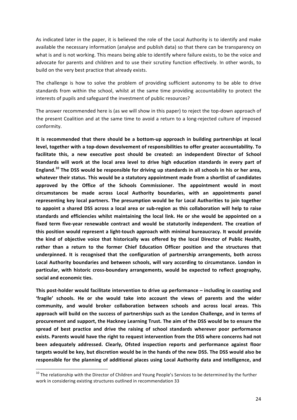As indicated later in the paper, it is believed the role of the Local Authority is to identify and make available the necessary information (analyse and publish data) so that there can be transparency on what is and is not working. This means being able to identify where failure exists, to be the voice and advocate for parents and children and to use their scrutiny function effectively. In other words, to build on the very best practice that already exists.

The challenge is how to solve the problem of providing sufficient autonomy to be able to drive standards from within the school, whilst at the same time providing accountability to protect the interests of pupils and safeguard the investment of public resources?

The answer recommended here is (as we will show in this paper) to reject the top-down approach of the present Coalition and at the same time to avoid a return to a long-rejected culture of imposed conformity.

It is recommended that there should be a bottom-up approach in building partnerships at local level, together with a top-down devolvement of responsibilities to offer greater accountability. To facilitate this, a new executive post should be created: an independent Director of School Standards will work at the local area level to drive high education standards in every part of England.<sup>10</sup> The DSS would be responsible for driving up standards in all schools in his or her area, whatever their status. This would be a statutory appointment made from a shortlist of candidates approved by the Office of the Schools Commissioner. The appointment would in most **circumstances be made across Local Authority boundaries, with an appointments panel**  representing key local partners. The presumption would be for Local Authorities to join together to appoint a shared DSS across a local area or sub-region as this collaboration will help to raise standards and efficiencies whilst maintaining the local link. He or she would be appointed on a fixed term five-year renewable contract and would be statutorily independent. The creation of this position would represent a light-touch approach with minimal bureaucracy. It would provide the kind of objective voice that historically was offered by the local Director of Public Health, rather than a return to the former Chief Education Officer position and the structures that underpinned. It is recognised that the configuration of partnership arrangements, both across Local Authority boundaries and between schools, will vary according to circumstance. London in particular, with historic cross-boundary arrangements, would be expected to reflect geography, **social and economic ties.**

This post-holder would facilitate intervention to drive up performance – including in coasting and **'fragile' schools. He or she would take into account the views of parents and the wider**  community, and would broker collaboration between schools and across local areas. This approach will build on the success of partnerships such as the London Challenge, and in terms of procurement and support, the Hackney Learning Trust. The aim of the DSS would be to ensure the spread of best practice and drive the raising of school standards wherever poor performance exists. Parents would have the right to request intervention from the DSS where concerns had not been adequately addressed. Clearly, Ofsted inspection reports and performance against floor targets would be key, but discretion would be in the hands of the new DSS. The DSS would also be responsible for the planning of additional places using Local Authority data and intelligence, and

 $10$  The relationship with the Director of Children and Young People's Services to be determined by the further work in considering existing structures outlined in recommendation 33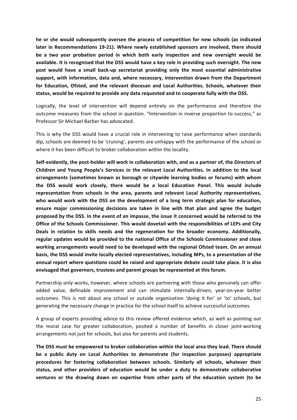he or she would subsequently oversee the process of competition for new schools (as indicated later in Recommendations 19-21). Where newly established sponsors are involved, there should be a two year probation period in which both early inspection and new oversight would be available. It is recognised that the DSS would have a key role in providing such oversight. The new post would have a small back-up secretariat providing only the most essential administrative support, with information, data and, where necessary, intervention drawn from the Department for Education, Ofsted, and the relevant diocesan and Local Authorities. Schools, whatever their status, would be required to provide any data requested and to cooperate fully with the DSS.

Logically, the level of intervention will depend entirely on the performance and therefore the outcome measures from the school in question. "Intervention in inverse proportion to success," as Professor Sir Michael Barber has advocated.

This is why the DSS would have a crucial role in intervening to raise performance when standards dip, schools are deemed to be 'cruising', parents are unhappy with the performance of the school or where it has been difficult to broker collaboration within the locality.

Self-evidently, the post-holder will work in collaboration with, and as a partner of, the Directors of Children and Young People's Services in the relevant Local Authorities. In addition to the local arrangements (sometimes known as borough or citywide learning bodies or forums) with whom the DSS would work closely, there would be a local Education Panel. This would include representation from schools in the area, parents and relevant Local Authority representatives, who would work with the DSS on the development of a long term strategic plan for education, ensure major commissioning decisions are taken in line with that plan and agree the budget proposed by the DSS. In the event of an impasse, the issue it concerned would be referred to the **Office of the Schools Commissioner. This would dovetail with the responsibilities of LEPs and City** Deals in relation to skills needs and the regeneration for the broader economy. Additionally, regular updates would be provided to the national Office of the Schools Commissioner and close working arrangements would need to be developed with the regional Ofsted team. On an annual basis, the DSS would invite locally elected representatives, including MPs, to a presentation of the annual report where questions could be raised and appropriate debate could take place. It is also envisaged that governors, trustees and parent groups be represented at this forum.

Partnership only works, however, where schools are partnering with those who genuinely can offer added value, definable improvement and can stimulate internally-driven, year-on-year better outcomes. This is not about any school or outside organisation 'doing it for' or 'to' schools, but generating the necessary change in practice for the school itself to achieve successful outcomes.

A group of experts providing advice to this review offered evidence which, as well as pointing out the moral case for greater collaboration, posited a number of benefits in closer joint-working arrangements not just for schools, but also for parents and students.

The DSS must be empowered to broker collaboration within the local area they lead. There should be a public duty on Local Authorities to demonstrate (for inspection purposes) appropriate procedures for fostering collaboration between schools. Similarly all schools, whatever their status, and other providers of education would be under a duty to demonstrate collaborative ventures or the drawing down on expertise from other parts of the education system (to be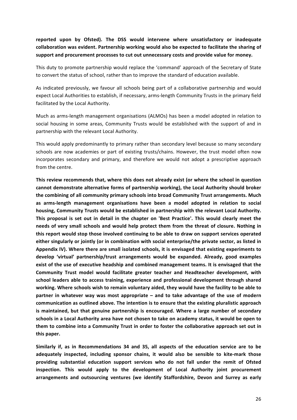### reported upon by Ofsted). The DSS would intervene where unsatisfactory or inadequate collaboration was evident. Partnership working would also be expected to facilitate the sharing of support and procurement processes to cut out unnecessary costs and provide value for money.

This duty to promote partnership would replace the 'command' approach of the Secretary of State to convert the status of school, rather than to improve the standard of education available.

As indicated previously, we favour all schools being part of a collaborative partnership and would expect Local Authorities to establish, if necessary, arms-length Community Trusts in the primary field facilitated by the Local Authority.

Much as arms-length management organisations (ALMOs) has been a model adopted in relation to social housing in some areas, Community Trusts would be established with the support of and in partnership with the relevant Local Authority.

This would apply predominantly to primary rather than secondary level because so many secondary schools are now academies or part of existing trusts/chains. However, the trust model often now incorporates secondary and primary, and therefore we would not adopt a prescriptive approach from the centre.

This review recommends that, where this does not already exist (or where the school in question cannot demonstrate alternative forms of partnership working), the Local Authority should broker the combining of all community primary schools into broad Community Trust arrangements. Much as arms-length management organisations have been a model adopted in relation to social housing, Community Trusts would be established in partnership with the relevant Local Authority. This proposal is set out in detail in the chapter on 'Best Practice'. This would clearly meet the needs of very small schools and would help protect them from the threat of closure. Nothing in this report would stop those involved continuing to be able to draw on support services operated either singularly or jointly (or in combination with social enterprise/the private sector, as listed in Appendix IV). Where there are small isolated schools, it is envisaged that existing experiments to develop 'virtual' partnership/trust arrangements would be expanded. Already, good examples exist of the use of executive headship and combined management teams. It is envisaged that the Community Trust model would facilitate greater teacher and Headteacher development, with school leaders able to access training, experience and professional development through shared working. Where schools wish to remain voluntary aided, they would have the facility to be able to **partner in whatever way was most appropriate – and to take advantage of the use of modern** communication as outlined above. The intention is to ensure that the existing pluralistic approach is maintained, but that genuine partnership is encouraged. Where a large number of secondary schools in a Local Authority area have not chosen to take on academy status, it would be open to them to combine into a Community Trust in order to foster the collaborative approach set out in **this paper.**

Similarly if, as in Recommendations 34 and 35, all aspects of the education service are to be adequately inspected, including sponsor chains, it would also be sensible to kite-mark those providing substantial education support services who do not fall under the remit of Ofsted inspection. This would apply to the development of Local Authority joint procurement arrangements and outsourcing ventures (we identify Staffordshire, Devon and Surrey as early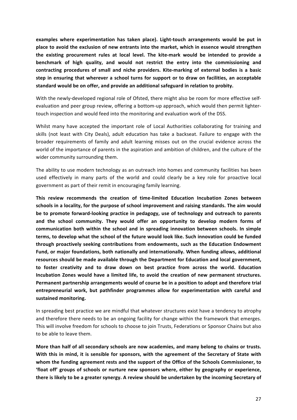examples where experimentation has taken place). Light-touch arrangements would be put in place to avoid the exclusion of new entrants into the market, which in essence would strengthen the existing procurement rules at local level. The kite-mark would be intended to provide a benchmark of high quality, and would not restrict the entry into the commissioning and contracting procedures of small and niche providers. Kite-marking of external bodies is a basic step in ensuring that wherever a school turns for support or to draw on facilities, an acceptable standard would be on offer, and provide an additional safeguard in relation to probity.

With the newly-developed regional role of Ofsted, there might also be room for more effective selfevaluation and peer group review, offering a bottom-up approach, which would then permit lightertouch inspection and would feed into the monitoring and evaluation work of the DSS.

Whilst many have accepted the important role of Local Authorities collaborating for training and skills (not least with City Deals), adult education has take a backseat. Failure to engage with the broader requirements of family and adult learning misses out on the crucial evidence across the world of the importance of parents in the aspiration and ambition of children, and the culture of the wider community surrounding them.

The ability to use modern technology as an outreach into homes and community facilities has been used effectively in many parts of the world and could clearly be a key role for proactive local government as part of their remit in encouraging family learning.

This review recommends the creation of time-limited Education Incubation Zones between schools in a locality, for the purpose of school improvement and raising standards. The aim would be to promote forward-looking practice in pedagogy, use of technology and outreach to parents and the school community. They would offer an opportunity to develop modern forms of communication both within the school and in spreading innovation between schools. In simple **terms, to develop what the school of the future would look like. Such innovation could be funded** through proactively seeking contributions from endowments, such as the Education Endowment Fund, or major foundations, both nationally and internationally. When funding allows, additional resources should be made available through the Department for Education and local government, to foster creativity and to draw down on best practice from across the world. Education Incubation Zones would have a limited life, to avoid the creation of new permanent structures. Permanent partnership arrangements would of course be in a position to adopt and therefore trial entrepreneurial work, but pathfinder programmes allow for experimentation with careful and sustained monitoring.

In spreading best practice we are mindful that whatever structures exist have a tendency to atrophy and therefore there needs to be an ongoing facility for change within the framework that emerges. This will involve freedom for schools to choose to join Trusts, Federations or Sponsor Chains but also to be able to leave them.

More than half of all secondary schools are now academies, and many belong to chains or trusts. With this in mind, it is sensible for sponsors, with the agreement of the Secretary of State with whom the funding agreement rests and the support of the Office of the Schools Commissioner, to 'float off' groups of schools or nurture new sponsors where, either by geography or experience, there is likely to be a greater synergy. A review should be undertaken by the incoming Secretary of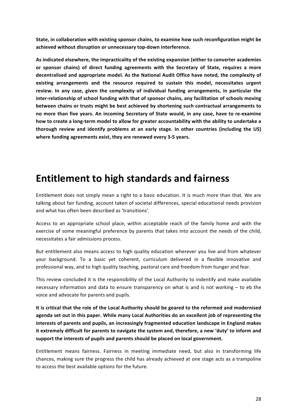State, in collaboration with existing sponsor chains, to examine how such reconfiguration might be achieved without disruption or unnecessary top-down interference.

As indicated elsewhere, the impracticality of the existing expansion (either to converter academies or sponsor chains) of direct funding agreements with the Secretary of State, requires a more decentralised and appropriate model. As the National Audit Office have noted, the complexity of existing arrangements and the resource required to sustain this model, necessitates urgent review. In any case, given the complexity of individual funding arrangements, in particular the inter-relationship of school funding with that of sponsor chains, any facilitation of schools moving between chains or trusts might be best achieved by shortening such contractual arrangements to no more than five years. An incoming Secretary of State would, in any case, have to re-examine how to create a long-term model to allow for greater accountability with the ability to undertake a thorough review and identify problems at an early stage. In other countries (including the US) where funding agreements exist, they are renewed every 3-5 years.

### **Entitlement to high standards and fairness**

Entitlement does not simply mean a right to a basic education. It is much more than that. We are talking about fair funding, account taken of societal differences, special educational needs provision and what has often been described as 'transitions'.

Access to an appropriate school place, within acceptable reach of the family home and with the exercise of some meaningful preference by parents that takes into account the needs of the child, necessitates a fair admissions process.

But entitlement also means access to high quality education wherever you live and from whatever your background. To a basic yet coherent, curriculum delivered in a flexible innovative and professional way, and to high quality teaching, pastoral care and freedom from hunger and fear.

This review concluded it is the responsibility of the Local Authority to indentify and make available necessary information and data to ensure transparency on what is and is not working  $-$  to  $eb$  the voice and advocate for parents and pupils.

It is critical that the role of the Local Authority should be geared to the reformed and modernised agenda set out in this paper. While many Local Authorities do an excellent job of representing the interests of parents and pupils, an increasingly fragmented education landscape in England makes it extremely difficult for parents to navigate the system and, therefore, a new 'duty' to inform and support the interests of pupils and parents should be placed on local government.

Entitlement means fairness. Fairness in meeting immediate need, but also in transforming life chances, making sure the progress the child has already achieved at one stage acts as a trampoline to access the best available options for the future.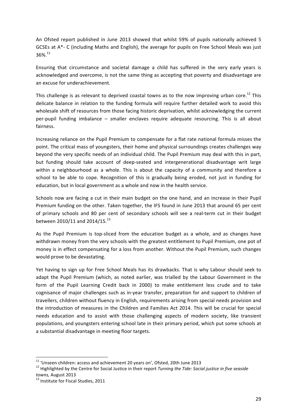An Ofsted report published in June 2013 showed that whilst 59% of pupils nationally achieved 5 GCSEs at A\*- C (including Maths and English), the average for pupils on Free School Meals was just  $36\%$ <sup>11</sup>

Ensuring that circumstance and societal damage a child has suffered in the very early years is acknowledged and overcome, is not the same thing as accepting that poverty and disadvantage are an excuse for underachievement.

This challenge is as relevant to deprived coastal towns as to the now improving urban core.<sup>12</sup> This delicate balance in relation to the funding formula will require further detailed work to avoid this wholesale shift of resources from those facing historic deprivation, whilst acknowledging the current per-pupil funding imbalance  $-$  smaller enclaves require adequate resourcing. This is all about fairness.

Increasing reliance on the Pupil Premium to compensate for a flat rate national formula misses the point. The critical mass of youngsters, their home and physical surroundings creates challenges way beyond the very specific needs of an individual child. The Pupil Premium may deal with this in part, but funding should take account of deep-seated and intergenerational disadvantage writ large within a neighbourhood as a whole. This is about the capacity of a community and therefore a school to be able to cope. Recognition of this is gradually being eroded, not just in funding for education, but in local government as a whole and now in the health service.

Schools now are facing a cut in their main budget on the one hand, and an increase in their Pupil Premium funding on the other. Taken together, the IFS found in June 2013 that around 65 per cent of primary schools and 80 per cent of secondary schools will see a real-term cut in their budget between 2010/11 and 2014/15.<sup>13</sup>

As the Pupil Premium is top-sliced from the education budget as a whole, and as changes have withdrawn money from the very schools with the greatest entitlement to Pupil Premium, one pot of money is in effect compensating for a loss from another. Without the Pupil Premium, such changes would prove to be devastating.

Yet having to sign up for Free School Meals has its drawbacks. That is why Labour should seek to adapt the Pupil Premium (which, as noted earlier, was trialled by the Labour Government in the form of the Pupil Learning Credit back in 2000) to make entitlement less crude and to take cognisance of major challenges such as in-year transfer, preparation for and support to children of travellers, children without fluency in English, requirements arising from special needs provision and the introduction of measures in the Children and Families Act 2014. This will be crucial for special needs education and to assist with those challenging aspects of modern society, like transient populations, and youngsters entering school late in their primary period, which put some schools at a substantial disadvantage in meeting floor targets.

<sup>&</sup>lt;sup>11</sup> 'Unseen children: access and achievement 20 years on', Ofsted, 20th June 2013<br><sup>12</sup> Highlighted by the Centre for Social Justice in their report *Turning the Tide: Social justice in five seaside* 

towns, August 2013<br><sup>13</sup> Institute for Fiscal Studies, 2011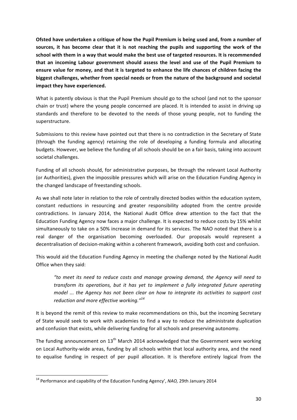Ofsted have undertaken a critique of how the Pupil Premium is being used and, from a number of sources, it has become clear that it is not reaching the pupils and supporting the work of the school with them in a way that would make the best use of targeted resources. It is recommended that an incoming Labour government should assess the level and use of the Pupil Premium to ensure value for money, and that it is targeted to enhance the life chances of children facing the biggest challenges, whether from special needs or from the nature of the background and societal **impact they have experienced.** 

What is patently obvious is that the Pupil Premium should go to the school (and not to the sponsor chain or trust) where the young people concerned are placed. It is intended to assist in driving up standards and therefore to be devoted to the needs of those young people, not to funding the superstructure.

Submissions to this review have pointed out that there is no contradiction in the Secretary of State (through the funding agency) retaining the role of developing a funding formula and allocating budgets. However, we believe the funding of all schools should be on a fair basis, taking into account societal challenges.

Funding of all schools should, for administrative purposes, be through the relevant Local Authority (or Authorities), given the impossible pressures which will arise on the Education Funding Agency in the changed landscape of freestanding schools.

As we shall note later in relation to the role of centrally directed bodies within the education system, constant reductions in resourcing and greater responsibility adopted from the centre provide contradictions. In January 2014, the National Audit Office drew attention to the fact that the Education Funding Agency now faces a major challenge. It is expected to reduce costs by 15% whilst simultaneously to take on a 50% increase in demand for its services. The NAO noted that there is a real danger of the organisation becoming overloaded. Our proposals would represent a decentralisation of decision-making within a coherent framework, avoiding both cost and confusion.

This would aid the Education Funding Agency in meeting the challenge noted by the National Audit Office when they said:

*"to meet its need to reduce costs and manage growing demand, the Agency will need to transform* its operations, but it has yet to implement a fully integrated future operating *model* ... the Agency has not been clear on how to integrate its activities to support cost *reduction and more effective working.*"<sup>14</sup>

It is beyond the remit of this review to make recommendations on this, but the incoming Secretary of State would seek to work with academies to find a way to reduce the administrate duplication and confusion that exists, while delivering funding for all schools and preserving autonomy.

The funding announcement on  $13<sup>th</sup>$  March 2014 acknowledged that the Government were working on Local Authority-wide areas, funding by all schools within that local authority area, and the need to equalise funding in respect of per pupil allocation. It is therefore entirely logical from the

<sup>&</sup>lt;sup>14</sup> Performance and capability of the Education Funding Agency', *NAO*, 29th January 2014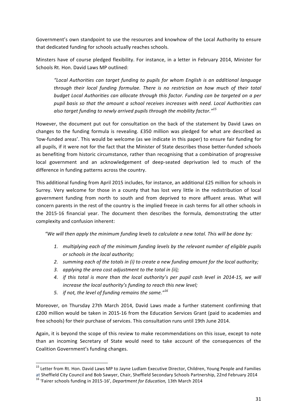Government's own standpoint to use the resources and knowhow of the Local Authority to ensure that dedicated funding for schools actually reaches schools.

Minsters have of course pledged flexibility. For instance, in a letter in February 2014, Minister for Schools Rt. Hon. David Laws MP outlined:

*"Local Authorities can target funding to pupils for whom English is an additional language through their local funding formulae. There is no restriction on how much of their total budget Local Authorities can allocate through this factor. Funding can be targeted on a per* pupil basis so that the amount a school receives increases with need. Local Authorities can also target funding to newly arrived pupils through the mobility factor."<sup>15</sup>

However, the document put out for consultation on the back of the statement by David Laws on changes to the funding formula is revealing. £350 million was pledged for what are described as 'low-funded areas'. This would be welcome (as we indicate in this paper) to ensure fair funding for all pupils, if it were not for the fact that the Minister of State describes those better-funded schools as benefiting from historic circumstance, rather than recognising that a combination of progressive local government and an acknowledgement of deep-seated deprivation led to much of the difference in funding patterns across the country.

This additional funding from April 2015 includes, for instance, an additional £25 million for schools in Surrey. Very welcome for those in a county that has lost very little in the redistribution of local government funding from north to south and from deprived to more affluent areas. What will concern parents in the rest of the country is the implied freeze in cash terms for all other schools in the 2015-16 financial year. The document then describes the formula, demonstrating the utter complexity and confusion inherent:

*"We will then apply the minimum funding levels to calculate a new total. This will be done by:* 

- 1. *multiplying each of the minimum funding levels by the relevant number of eligible pupils* or schools in the local authority;
- 2. *summing each of the totals in (i)* to create a new funding amount for the local authority;
- 3. applying the area cost adjustment to the total in (ii);
- 4. *if* this total is more than the local authority's per pupil cash level in 2014-15, we will increase the local authority's funding to reach this new level;
- 5. *if not, the level of funding remains the same.*"<sup>16</sup>

Moreover, on Thursday 27th March 2014, David Laws made a further statement confirming that £200 million would be taken in 2015-16 from the Education Services Grant (paid to academies and free schools) for their purchase of services. This consultation runs until 19th June 2014.

Again, it is beyond the scope of this review to make recommendations on this issue, except to note than an incoming Secretary of State would need to take account of the consequences of the Coalition Government's funding changes.

<sup>&</sup>lt;u> 1989 - Johann Stein, fransk politiker (d. 1989)</u> <sup>15</sup> Letter from Rt. Hon. David Laws MP to Jayne Ludlam Executive Director, Children, Young People and Families

at Sheffield City Council and Bob Sawyer, Chair, Sheffield Secondary Schools Partnership, 22nd February 2014 16 'Fairer schools funding in 2015-16', *Department for Education*, 13th March 2014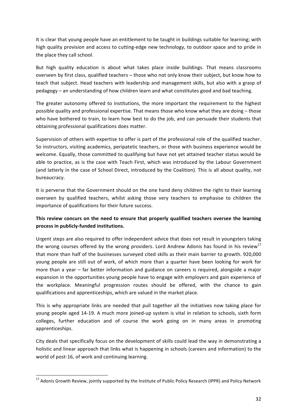It is clear that young people have an entitlement to be taught in buildings suitable for learning; with high quality provision and access to cutting-edge new technology, to outdoor space and to pride in the place they call school.

But high quality education is about what takes place inside buildings. That means classrooms overseen by first class, qualified teachers – those who not only know their subject, but know how to teach that subject. Head teachers with leadership and management skills, but also with a grasp of  $pedagogy - an understanding of how children learn and what constitutes good and bad teaching.$ 

The greater autonomy offered to institutions, the more important the requirement to the highest possible quality and professional expertise. That means those who know what they are doing  $-$  those who have bothered to train, to learn how best to do the job, and can persuade their students that obtaining professional qualifications does matter.

Supervision of others with expertise to offer is part of the professional role of the qualified teacher. So instructors, visiting academics, peripatetic teachers, or those with business experience would be welcome. Equally, those committed to qualifying but have not yet attained teacher status would be able to practice, as is the case with Teach First, which was introduced by the Labour Government (and latterly in the case of School Direct, introduced by the Coalition). This is all about quality, not bureaucracy.

It is perverse that the Government should on the one hand deny children the right to their learning overseen by qualified teachers, whilst asking those very teachers to emphasise to children the importance of qualifications for their future success.

### This review concurs on the need to ensure that properly qualified teachers oversee the learning process in publicly-funded institutions.

Urgent steps are also required to offer independent advice that does not result in youngsters taking the wrong courses offered by the wrong providers. Lord Andrew Adonis has found in his review<sup>17</sup> that more than half of the businesses surveyed cited skills as their main barrier to growth. 920,000 young people are still out of work, of which more than a quarter have been looking for work for more than a year – far better information and guidance on careers is required, alongside a major expansion in the opportunities young people have to engage with employers and gain experience of the workplace. Meaningful progression routes should be offered, with the chance to gain qualifications and apprenticeships, which are valued in the market place.

This is why appropriate links are needed that pull together all the initiatives now taking place for young people aged 14-19. A much more joined-up system is vital in relation to schools, sixth form colleges, further education and of course the work going on in many areas in promoting apprenticeships.

City deals that specifically focus on the development of skills could lead the way in demonstrating a holistic and linear approach that links what is happening in schools (careers and information) to the world of post-16, of work and continuing learning.

 $^{17}$  Adonis Growth Review, jointly supported by the Institute of Public Policy Research (IPPR) and Policy Network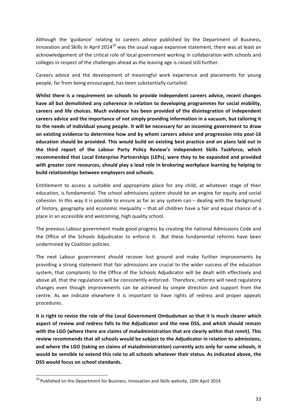Although the 'guidance' relating to careers advice published by the Department of Business, Innovation and Skills in April 2014<sup>18</sup> was the usual vague expansive statement, there was at least an acknowledgement of the critical role of local government working in collaboration with schools and colleges in respect of the challenges ahead as the leaving age is raised still further.

Careers advice and the development of meaningful work experience and placements for young people, far from being encouraged, has been substantially curtailed.

Whilst there is a requirement on schools to provide independent careers advice, recent changes have all but demolished any coherence in relation to developing programmes for social mobility, careers and life choices. Much evidence has been provided of the disintegration of independent careers advice and the importance of not simply providing information in a vacuum, but tailoring it to the needs of individual young people. It will be necessary for an incoming government to draw on existing evidence to determine how and by whom careers advice and progression into post-16 education should be provided. This would build on existing best practice and on plans laid out in the third report of the Labour Party Policy Review's independent Skills Taskforce, which recommended that Local Enterprise Partnerships (LEPs), were they to be expanded and provided with greater core resources, should play a lead role in brokering workplace learning by helping to build relationships between employers and schools.

Entitlement to access a suitable and appropriate place for any child, at whatever stage of their education, is fundamental. The school admissions system should be an engine for equity and social cohesion. In this way it is possible to ensure as far as any system  $can -$  dealing with the background of history, geography and economic inequality – that all children have a fair and equal chance of a place in an accessible and welcoming, high quality school.

The previous Labour government made good progress by creating the national Admissions Code and the Office of the Schools Adjudicator to enforce it. But these fundamental reforms have been undermined by Coalition policies.

The next Labour government should recover lost ground and make further improvements by providing a strong statement that fair admissions are crucial to the wider success of the education system, that complaints to the Office of the Schools Adjudicator will be dealt with effectively and above all, that the regulations will be consistently enforced. Therefore, reforms will need regulatory changes even though improvements can be achieved by simple direction and support from the centre. As we indicate elsewhere it is important to have rights of redress and proper appeals procedures.

It is right to revise the role of the Local Government Ombudsman so that it is much clearer which aspect of review and redress falls to the Adjudicator and the new DSS, and which should remain with the LGO (where there are claims of maladministration that are clearly within that remit). This review recommends that all schools would be subject to the Adjudicator in relation to admissions, and where the LGO (taking on claims of maladministration) currently acts only for some schools, it would be sensible to extend this role to all schools whatever their status. As indicated above, the **DSS** would focus on school standards.

 $^{18}$  Published on the Department for Business, Innovation and Skills website, 10th April 2014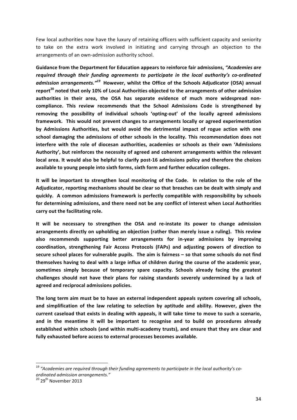Few local authorities now have the luxury of retaining officers with sufficient capacity and seniority to take on the extra work involved in initiating and carrying through an objection to the arrangements of an own-admission authority school.

Guidance from the Department for Education appears to reinforce fair admissions, "Academies are required through their funding agreements to participate in the local authority's co-ordinated admission arrangements.<sup>"19</sup> However, whilst the Office of the Schools Adjudicator (OSA) annual report<sup>20</sup> noted that only 10% of Local Authorities objected to the arrangements of other admission authorities in their area, the OSA has separate evidence of much more widespread noncompliance. This review recommends that the School Admissions Code is strengthened by removing the possibility of individual schools 'opting-out' of the locally agreed admissions framework. This would not prevent changes to arrangements locally or agreed experimentation by Admissions Authorities, but would avoid the detrimental impact of rogue action with one school damaging the admissions of other schools in the locality. This recommendation does not interfere with the role of diocesan authorities, academies or schools as their own 'Admissions Authority', but reinforces the necessity of agreed and coherent arrangements within the relevant local area. It would also be helpful to clarify post-16 admissions policy and therefore the choices available to young people into sixth forms, sixth form and further education colleges.

It will be important to strengthen local monitoring of the Code. In relation to the role of the Adjudicator, reporting mechanisms should be clear so that breaches can be dealt with simply and quickly. A common admissions framework is perfectly compatible with responsibility by schools for determining admissions, and there need not be any conflict of interest when Local Authorities carry out the facilitating role.

It will be necessary to strengthen the OSA and re-instate its power to change admission arrangements directly on upholding an objection (rather than merely issue a ruling). This review also recommends supporting better arrangements for in-year admissions by improving **coordination, strengthening Fair Access Protocols (FAPs) and adjusting powers of direction to**  secure school places for vulnerable pupils. The aim is fairness – so that some schools do not find themselves having to deal with a large influx of children during the course of the academic year, sometimes simply because of temporary spare capacity. Schools already facing the greatest challenges should not have their plans for raising standards severely undermined by a lack of agreed and reciprocal admissions policies.

The long term aim must be to have an external independent appeals system covering all schools, and simplification of the law relating to selection by aptitude and ability. However, given the current caseload that exists in dealing with appeals, it will take time to move to such a scenario, and in the meantime it will be important to recognise and to build on procedures already established within schools (and within multi-academy trusts), and ensure that they are clear and fully exhausted before access to external processes becomes available.

 $^\mathrm{19}$  "Academies are required through their funding agreements to participate in the local authority's co*ordinated admission arrangements."*

<sup>&</sup>lt;sup>20</sup> 29<sup>th</sup> November 2013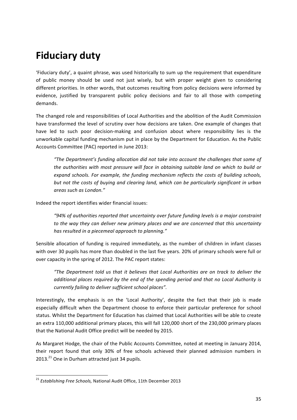# **Fiduciary duty**

'Fiduciary duty', a quaint phrase, was used historically to sum up the requirement that expenditure of public money should be used not just wisely, but with proper weight given to considering different priorities. In other words, that outcomes resulting from policy decisions were informed by evidence, justified by transparent public policy decisions and fair to all those with competing demands.

The changed role and responsibilities of Local Authorities and the abolition of the Audit Commission have transformed the level of scrutiny over how decisions are taken. One example of changes that have led to such poor decision-making and confusion about where responsibility lies is the unworkable capital funding mechanism put in place by the Department for Education. As the Public Accounts Committee (PAC) reported in June 2013:

*"The Department's funding allocation did not take into account the challenges that some of the authorities with most pressure will face in obtaining suitable land on which to build or* expand schools. For example, the funding mechanism reflects the costs of building schools, *but not the costs of buying and clearing land, which can be particularly significant in urban areas such as London."*

Indeed the report identifies wider financial issues:

"94% of authorities reported that uncertainty over future funding levels is a major constraint to the way they can deliver new primary places and we are concerned that this uncertainty has resulted in a piecemeal approach to planning."

Sensible allocation of funding is required immediately, as the number of children in infant classes with over 30 pupils has more than doubled in the last five years. 20% of primary schools were full or over capacity in the spring of 2012. The PAC report states:

*"The Department told us that it believes that Local Authorities are on track to deliver the additional places required by the end of the spending period and that no Local Authority is currently failing to deliver sufficient school places".* 

Interestingly, the emphasis is on the 'Local Authority', despite the fact that their job is made especially difficult when the Department choose to enforce their particular preference for school status. Whilst the Department for Education has claimed that Local Authorities will be able to create an extra 110,000 additional primary places, this will fall 120,000 short of the 230,000 primary places that the National Audit Office predict will be needed by 2015.

As Margaret Hodge, the chair of the Public Accounts Committee, noted at meeting in January 2014, their report found that only 30% of free schools achieved their planned admission numbers in  $2013.<sup>21</sup>$  One in Durham attracted just 34 pupils.

<sup>&</sup>lt;sup>21</sup> *Establishing Free Schools,* National Audit Office, 11th December 2013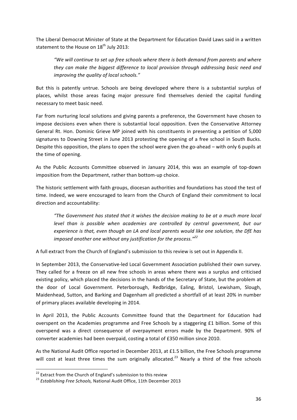The Liberal Democrat Minister of State at the Department for Education David Laws said in a written statement to the House on  $18<sup>th</sup>$  July 2013:

"We will continue to set up free schools where there is both demand from parents and where *they* can make the biggest difference to local provision through addressing basic need and *improving the quality of local schools."* 

But this is patently untrue. Schools are being developed where there is a substantial surplus of places, whilst those areas facing major pressure find themselves denied the capital funding necessary to meet basic need.

Far from nurturing local solutions and giving parents a preference, the Government have chosen to impose decisions even when there is substantial local opposition. Even the Conservative Attorney General Rt. Hon. Dominic Grieve MP joined with his constituents in presenting a petition of 5,000 signatures to Downing Street in June 2013 protesting the opening of a free school in South Bucks. Despite this opposition, the plans to open the school were given the go-ahead – with only 6 pupils at the time of opening.

As the Public Accounts Committee observed in January 2014, this was an example of top-down imposition from the Department, rather than bottom-up choice.

The historic settlement with faith groups, diocesan authorities and foundations has stood the test of time. Indeed, we were encouraged to learn from the Church of England their commitment to local direction and accountability:

*"The Government has stated that it wishes the decision making to be at a much more local level than is possible when academies are controlled by central government, but our experience is that, even though an LA and local parents would like one solution, the DfE has imposed another one without any justification for the process.*"<sup>22</sup>

A full extract from the Church of England's submission to this review is set out in Appendix II.

In September 2013, the Conservative-led Local Government Association published their own survey. They called for a freeze on all new free schools in areas where there was a surplus and criticised existing policy, which placed the decisions in the hands of the Secretary of State, but the problem at the door of Local Government. Peterborough, Redbridge, Ealing, Bristol, Lewisham, Slough, Maidenhead, Sutton, and Barking and Dagenham all predicted a shortfall of at least 20% in number of primary places available developing in 2014.

In April 2013, the Public Accounts Committee found that the Department for Education had overspent on the Academies programme and Free Schools by a staggering £1 billion. Some of this overspend was a direct consequence of overpayment errors made by the Department. 90% of converter academies had been overpaid, costing a total of £350 million since 2010.

As the National Audit Office reported in December 2013, at £1.5 billion, the Free Schools programme will cost at least three times the sum originally allocated.<sup>23</sup> Nearly a third of the free schools

<sup>&</sup>lt;sup>22</sup> Extract from the Church of England's submission to this review

<sup>&</sup>lt;sup>23</sup> Establishing Free Schools, National Audit Office, 11th December 2013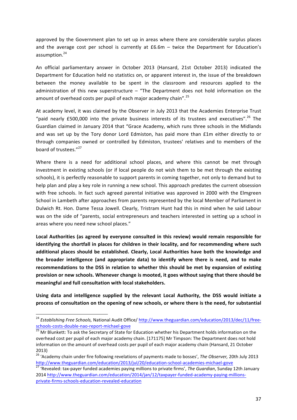approved by the Government plan to set up in areas where there are considerable surplus places and the average cost per school is currently at  $£6.6m -$  twice the Department for Education's assumption.<sup>24</sup>

An official parliamentary answer in October 2013 (Hansard, 21st October 2013) indicated the Department for Education held no statistics on, or apparent interest in, the issue of the breakdown between the money available to be spent in the classroom and resources applied to the administration of this new superstructure  $-$  "The Department does not hold information on the amount of overhead costs per pupil of each major academy chain".<sup>25</sup>

At academy level, it was claimed by the Observer in July 2013 that the Academies Enterprise Trust "paid nearly £500,000 into the private business interests of its trustees and executives".<sup>26</sup> The Guardian claimed in January 2014 that "Grace Academy, which runs three schools in the Midlands and was set up by the Tory donor Lord Edmiston, has paid more than £1m either directly to or through companies owned or controlled by Edmiston, trustees' relatives and to members of the board of trustees."<sup>27</sup>

Where there is a need for additional school places, and where this cannot be met through investment in existing schools (or if local people do not wish them to be met through the existing schools), it is perfectly reasonable to support parents in coming together, not only to demand but to help plan and play a key role in running a new school. This approach predates the current obsession with free schools. In fact such agreed parental initiative was approved in 2000 with the Elmgreen School in Lambeth after approaches from parents represented by the local Member of Parliament in Dulwich Rt. Hon. Dame Tessa Jowell. Clearly, Tristram Hunt had this in mind when he said Labour was on the side of "parents, social entrepreneurs and teachers interested in setting up a school in areas where you need new school places."

Local Authorities (as agreed by everyone consulted in this review) would remain responsible for identifying the shortfall in places for children in their locality, and for recommending where such additional places should be established. Clearly, Local Authorities have both the knowledge and the broader intelligence (and appropriate data) to identify where there is need, and to make recommendations to the DSS in relation to whether this should be met by expansion of existing provision or new schools. Whenever change is mooted, it goes without saying that there should be meaningful and full consultation with local stakeholders.

Using data and intelligence supplied by the relevant Local Authority, the DSS would initiate a process of consultation on the opening of new schools, or where there is the need, for substantial

<sup>&</sup>lt;sup>24</sup> Establishing Free Schools, National Audit Office/ http://www.theguardian.com/education/2013/dec/11/free-

schools-costs-double-nao-report-michael-gove<br><sup>25</sup> Mr Blunkett: To ask the Secretary of State for Education whether his Department holds information on the overhead cost per pupil of each major academy chain. [171175] Mr Timpson: The Department does not hold information on the amount of overhead costs per pupil of each major academy chain (Hansard, 21 October 2013)

<sup>&</sup>lt;sup>26</sup> 'Academy chain under fire following revelations of payments made to bosses', *The Observer*, 20th July 2013 http://www.theguardian.com/education/2013/jul/20/education-school-academies-michael-gove<br><sup>27</sup> 'Revealed: tax-payer funded academies paying millions to private firms', *The Guardian*, Sunday 12th January

<sup>2014</sup> http://www.theguardian.com/education/2014/jan/12/taxpayer-funded-academy-paying-millionsprivate-firms-schools-education-revealed-education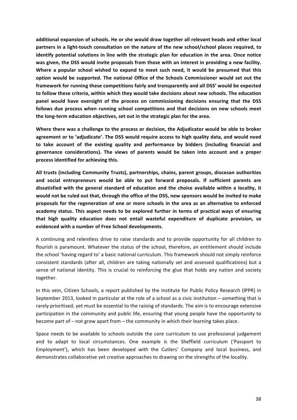additional expansion of schools. He or she would draw together all relevant heads and other local partners in a light-touch consultation on the nature of the new school/school places required, to **identify potential solutions in line with the strategic plan for education in the area. Once notice** was given, the DSS would invite proposals from those with an interest in providing a new facility. Where a popular school wished to expand to meet such need, it would be presumed that this option would be supported. The national Office of the Schools Commissioner would set out the framework for running these competitions fairly and transparently and all DSS' would be expected to follow these criteria, within which they would take decisions about new schools. The education panel would have oversight of the process on commissioning decisions ensuring that the DSS follows due process when running school competitions and that decisions on new schools meet the long-term education objectives, set out in the strategic plan for the area.

Where there was a challenge to the process or decision, the Adjudicator would be able to broker agreement or to 'adjudicate'. The DSS would require access to high quality data, and would need to take account of the existing quality and performance by bidders (including financial and governance considerations). The views of parents would be taken into account and a proper process identified for achieving this.

All trusts (including Community Trusts), partnerships, chains, parent groups, diocesan authorities and social entrepreneurs would be able to put forward proposals. If sufficient parents are dissatisfied with the general standard of education and the choice available within a locality, it would not be ruled out that, through the office of the DSS, new sponsors would be invited to make proposals for the regeneration of one or more schools in the area as an alternative to enforced academy status. This aspect needs to be explored further in terms of practical ways of ensuring that high quality education does not entail wasteful expenditure of duplicate provision, so **evidenced with a number of Free School developments.**

A continuing and relentless drive to raise standards and to provide opportunity for all children to flourish is paramount. Whatever the status of the school, therefore, an entitlement should include the school 'having regard to' a basic national curriculum. This framework should not simply reinforce consistent standards (after all, children are taking nationally set and assessed qualifications) but a sense of national identity. This is crucial to reinforcing the glue that holds any nation and society together.

In this vein, Citizen Schools, a report published by the Institute for Public Policy Research (IPPR) in September 2013, looked in particular at the role of a school as a civic institution  $-$  something that is rarely prioritised, yet must be essential to the raising of standards. The aim is to encourage extensive participation in the community and public life, ensuring that young people have the opportunity to become part of  $-$  not grow apart from  $-$  the community in which their learning takes place.

Space needs to be available to schools outside the core curriculum to use professional judgement and to adapt to local circumstances. One example is the Sheffield curriculum ('Passport to Employment'), which has been developed with the Cutlers' Company and local business, and demonstrates collaborative yet creative approaches to drawing on the strengths of the locality.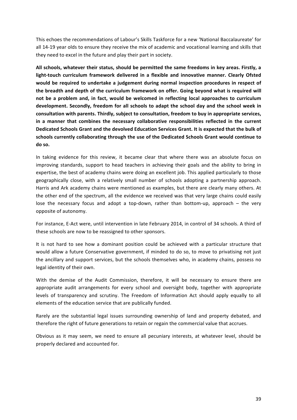This echoes the recommendations of Labour's Skills Taskforce for a new 'National Baccalaureate' for all 14-19 year olds to ensure they receive the mix of academic and vocational learning and skills that they need to excel in the future and play their part in society.

All schools, whatever their status, should be permitted the same freedoms in key areas. Firstly, a light-touch curriculum framework delivered in a flexible and innovative manner. Clearly Ofsted would be required to undertake a judgement during normal inspection procedures in respect of the breadth and depth of the curriculum framework on offer. Going beyond what is required will not be a problem and, in fact, would be welcomed in reflecting local approaches to curriculum development. Secondly, freedom for all schools to adapt the school day and the school week in consultation with parents. Thirdly, subject to consultation, freedom to buy in appropriate services, in a manner that combines the necessary collaborative responsibilities reflected in the current Dedicated Schools Grant and the devolved Education Services Grant. It is expected that the bulk of schools currently collaborating through the use of the Dedicated Schools Grant would continue to do so.

In taking evidence for this review, it became clear that where there was an absolute focus on improving standards, support to head teachers in achieving their goals and the ability to bring in expertise, the best of academy chains were doing an excellent job. This applied particularly to those geographically close, with a relatively small number of schools adopting a partnership approach. Harris and Ark academy chains were mentioned as examples, but there are clearly many others. At the other end of the spectrum, all the evidence we received was that very large chains could easily lose the necessary focus and adopt a top-down, rather than bottom-up, approach – the very opposite of autonomy.

For instance, E-Act were, until intervention in late February 2014, in control of 34 schools. A third of these schools are now to be reassigned to other sponsors.

It is not hard to see how a dominant position could be achieved with a particular structure that would allow a future Conservative government, if minded to do so, to move to privatising not just the ancillary and support services, but the schools themselves who, in academy chains, possess no legal identity of their own.

With the demise of the Audit Commission, therefore, it will be necessary to ensure there are appropriate audit arrangements for every school and oversight body, together with appropriate levels of transparency and scrutiny. The Freedom of Information Act should apply equally to all elements of the education service that are publically funded.

Rarely are the substantial legal issues surrounding ownership of land and property debated, and therefore the right of future generations to retain or regain the commercial value that accrues.

Obvious as it may seem, we need to ensure all pecuniary interests, at whatever level, should be properly declared and accounted for.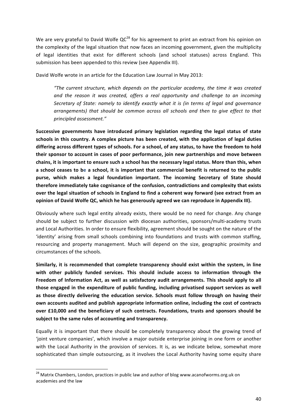We are very grateful to David Wolfe  $QC^{28}$  for his agreement to print an extract from his opinion on the complexity of the legal situation that now faces an incoming government, given the multiplicity of legal identities that exist for different schools (and school statuses) across England. This submission has been appended to this review (see Appendix III).

David Wolfe wrote in an article for the Education Law Journal in May 2013:

*"The current structure, which depends on the particular academy, the time it was created*  and the reason it was created, offers a real opportunity and challenge to an incoming *Secretary* of *State: namely to identify exactly what it is (in terms of legal and governance arrangements)* that should be common across all schools and then to give effect to that *principled assessment."* 

Successive governments have introduced primary legislation regarding the legal status of state schools in this country. A complex picture has been created, with the application of legal duties differing across different types of schools. For a school, of any status, to have the freedom to hold their sponsor to account in cases of poor performance, join new partnerships and move between chains, it is important to ensure such a school has the necessary legal status. More than this, when a school ceases to be a school, it is important that commercial benefit is returned to the public purse, which makes a legal foundation important. The incoming Secretary of State should therefore immediately take cognisance of the confusion, contradictions and complexity that exists over the legal situation of schools in England to find a coherent way forward (see extract from an **opinion of David Wolfe QC, which he has generously agreed we can reproduce in Appendix III).** 

Obviously where such legal entity already exists, there would be no need for change. Any change should be subject to further discussion with diocesan authorities, sponsors/multi-academy trusts and Local Authorities. In order to ensure flexibility, agreement should be sought on the nature of the 'identity' arising from small schools combining into foundations and trusts with common staffing, resourcing and property management. Much will depend on the size, geographic proximity and circumstances of the schools.

Similarly, it is recommended that complete transparency should exist within the system, in line with other publicly funded services. This should include access to information through the Freedom of Information Act, as well as satisfactory audit arrangements. This should apply to all those engaged in the expenditure of public funding, including privatised support services as well as those directly delivering the education service. Schools must follow through on having their own accounts audited and publish appropriate information online, including the cost of contracts over £10,000 and the beneficiary of such contracts. Foundations, trusts and sponsors should be subject to the same rules of accounting and transparency.

Equally it is important that there should be completely transparency about the growing trend of 'joint venture companies', which involve a major outside enterprise joining in one form or another with the Local Authority in the provision of services. It is, as we indicate below, somewhat more sophisticated than simple outsourcing, as it involves the Local Authority having some equity share

 $^{28}$  Matrix Chambers, London, practices in public law and author of blog www.acanofworms.org.uk on academies and the law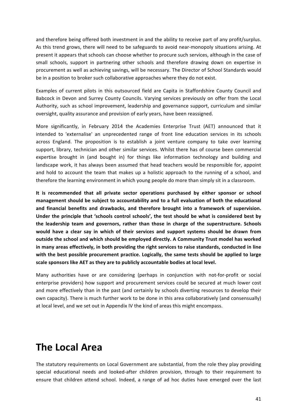and therefore being offered both investment in and the ability to receive part of any profit/surplus. As this trend grows, there will need to be safeguards to avoid near-monopoly situations arising. At present it appears that schools can choose whether to procure such services, although in the case of small schools, support in partnering other schools and therefore drawing down on expertise in procurement as well as achieving savings, will be necessary. The Director of School Standards would be in a position to broker such collaborative approaches where they do not exist.

Examples of current pilots in this outsourced field are Capita in Staffordshire County Council and Babcock in Devon and Surrey County Councils. Varying services previously on offer from the Local Authority, such as school improvement, leadership and governance support, curriculum and similar oversight, quality assurance and provision of early years, have been reassigned.

More significantly, in February 2014 the Academies Enterprise Trust (AET) announced that it intended to 'externalise' an unprecedented range of front line education services in its schools across England. The proposition is to establish a joint venture company to take over learning support, library, technician and other similar services. Whilst there has of course been commercial expertise brought in (and bought in) for things like information technology and building and landscape work, it has always been assumed that head teachers would be responsible for, appoint and hold to account the team that makes up a holistic approach to the running of a school, and therefore the learning environment in which young people do more than simply sit in a classroom.

It is recommended that all private sector operations purchased by either sponsor or school management should be subject to accountability and to a full evaluation of both the educational and financial benefits and drawbacks, and therefore brought into a framework of supervision. Under the principle that 'schools control schools', the test should be what is considered best by the leadership team and governors, rather than those in charge of the superstructure. Schools would have a clear say in which of their services and support systems should be drawn from outside the school and which should be employed directly. A Community Trust model has worked in many areas effectively, in both providing the right services to raise standards, conducted in line with the best possible procurement practice. Logically, the same tests should be applied to large scale sponsors like AET as they are to publicly accountable bodies at local level.

Many authorities have or are considering (perhaps in conjunction with not-for-profit or social enterprise providers) how support and procurement services could be secured at much lower cost and more effectively than in the past (and certainly by schools diverting resources to develop their own capacity). There is much further work to be done in this area collaboratively (and consensually) at local level, and we set out in Appendix IV the kind of areas this might encompass.

### **The Local Area**

The statutory requirements on Local Government are substantial, from the role they play providing special educational needs and looked-after children provision, through to their requirement to ensure that children attend school. Indeed, a range of ad hoc duties have emerged over the last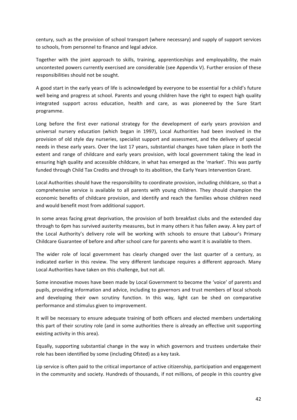century, such as the provision of school transport (where necessary) and supply of support services to schools, from personnel to finance and legal advice.

Together with the joint approach to skills, training, apprenticeships and employability, the main uncontested powers currently exercised are considerable (see Appendix V). Further erosion of these responsibilities should not be sought.

A good start in the early years of life is acknowledged by everyone to be essential for a child's future well being and progress at school. Parents and young children have the right to expect high quality integrated support across education, health and care, as was pioneered by the Sure Start programme.

Long before the first ever national strategy for the development of early years provision and universal nursery education (which began in 1997), Local Authorities had been involved in the provision of old style day nurseries, specialist support and assessment, and the delivery of special needs in these early years. Over the last 17 years, substantial changes have taken place in both the extent and range of childcare and early years provision, with local government taking the lead in ensuring high quality and accessible childcare, in what has emerged as the 'market'. This was partly funded through Child Tax Credits and through to its abolition, the Early Years Intervention Grant.

Local Authorities should have the responsibility to coordinate provision, including childcare, so that a comprehensive service is available to all parents with young children. They should champion the economic benefits of childcare provision, and identify and reach the families whose children need and would benefit most from additional support.

In some areas facing great deprivation, the provision of both breakfast clubs and the extended day through to 6pm has survived austerity measures, but in many others it has fallen away. A key part of the Local Authority's delivery role will be working with schools to ensure that Labour's Primary Childcare Guarantee of before and after school care for parents who want it is available to them.

The wider role of local government has clearly changed over the last quarter of a century, as indicated earlier in this review. The very different landscape requires a different approach. Many Local Authorities have taken on this challenge, but not all.

Some innovative moves have been made by Local Government to become the 'voice' of parents and pupils, providing information and advice, including to governors and trust members of local schools and developing their own scrutiny function. In this way, light can be shed on comparative performance and stimulus given to improvement.

It will be necessary to ensure adequate training of both officers and elected members undertaking this part of their scrutiny role (and in some authorities there is already an effective unit supporting existing activity in this area).

Equally, supporting substantial change in the way in which governors and trustees undertake their role has been identified by some (including Ofsted) as a key task.

Lip service is often paid to the critical importance of active citizenship, participation and engagement in the community and society. Hundreds of thousands, if not millions, of people in this country give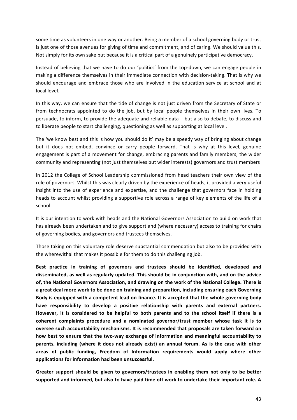some time as volunteers in one way or another. Being a member of a school governing body or trust is just one of those avenues for giving of time and commitment, and of caring. We should value this. Not simply for its own sake but because it is a critical part of a genuinely participative democracy.

Instead of believing that we have to do our 'politics' from the top-down, we can engage people in making a difference themselves in their immediate connection with decision-taking. That is why we should encourage and embrace those who are involved in the education service at school and at local level.

In this way, we can ensure that the tide of change is not just driven from the Secretary of State or from technocrats appointed to do the job, but by local people themselves in their own lives. To persuade, to inform, to provide the adequate and reliable  $data - but$  also to debate, to discuss and to liberate people to start challenging, questioning as well as supporting at local level.

The 'we know best and this is how you should do it' may be a speedy way of bringing about change but it does not embed, convince or carry people forward. That is why at this level, genuine engagement is part of a movement for change, embracing parents and family members, the wider community and representing (not just themselves but wider interests) governors and trust members

In 2012 the College of School Leadership commissioned from head teachers their own view of the role of governors. Whilst this was clearly driven by the experience of heads, it provided a very useful insight into the use of experience and expertise, and the challenge that governors face in holding heads to account whilst providing a supportive role across a range of key elements of the life of a school. 

It is our intention to work with heads and the National Governors Association to build on work that has already been undertaken and to give support and (where necessary) access to training for chairs of governing bodies, and governors and trustees themselves.

Those taking on this voluntary role deserve substantial commendation but also to be provided with the wherewithal that makes it possible for them to do this challenging job.

Best practice in training of governors and trustees should be identified, developed and disseminated, as well as regularly updated. This should be in conjunction with, and on the advice of, the National Governors Association, and drawing on the work of the National College. There is a great deal more work to be done on training and preparation, including ensuring each Governing Body is equipped with a competent lead on finance. It is accepted that the whole governing body have responsibility to develop a positive relationship with parents and external partners. However, it is considered to be helpful to both parents and to the school itself if there is a coherent complaints procedure and a nominated governor/trust member whose task it is to **oversee such accountability mechanisms. It is recommended that proposals are taken forward on** how best to ensure that the two-way exchange of information and meaningful accountability to parents, including (where it does not already exist) an annual forum. As is the case with other areas of public funding, Freedom of Information requirements would apply where other applications for information had been unsuccessful.

Greater support should be given to governors/trustees in enabling them not only to be better supported and informed, but also to have paid time off work to undertake their important role. A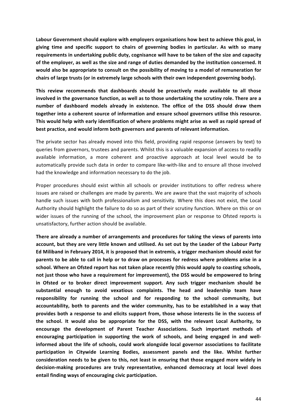Labour Government should explore with employers organisations how best to achieve this goal, in giving time and specific support to chairs of governing bodies in particular. As with so many requirements in undertaking public duty, cognisance will have to be taken of the size and capacity of the employer, as well as the size and range of duties demanded by the institution concerned. It would also be appropriate to consult on the possibility of moving to a model of remuneration for chairs of large trusts (or in extremely large schools with their own independent governing body).

This review recommends that dashboards should be proactively made available to all those involved in the governance function, as well as to those undertaking the scrutiny role. There are a number of dashboard models already in existence. The office of the DSS should draw them together into a coherent source of information and ensure school governors utilise this resource. This would help with early identification of where problems might arise as well as rapid spread of **best practice, and would inform both governors and parents of relevant information.** 

The private sector has already moved into this field, providing rapid response (answers by text) to queries from governors, trustees and parents. Whilst this is a valuable expansion of access to readily available information, a more coherent and proactive approach at local level would be to automatically provide such data in order to compare like-with-like and to ensure all those involved had the knowledge and information necessary to do the iob.

Proper procedures should exist within all schools or provider institutions to offer redress where issues are raised or challenges are made by parents. We are aware that the vast majority of schools handle such issues with both professionalism and sensitivity. Where this does not exist, the Local Authority should highlight the failure to do so as part of their scrutiny function. Where on this or on wider issues of the running of the school, the improvement plan or response to Ofsted reports is unsatisfactory, further action should be available.

There are already a number of arrangements and procedures for taking the views of parents into account, but they are very little known and utilised. As set out by the Leader of the Labour Party Ed Miliband in February 2014, it is proposed that in extremis, a trigger mechanism should exist for parents to be able to call in help or to draw on processes for redress where problems arise in a school. Where an Ofsted report has not taken place recently (this would apply to coasting schools, not just those who have a requirement for improvement), the DSS would be empowered to bring in Ofsted or to broker direct improvement support. Any such trigger mechanism should be substantial enough to avoid vexatious complaints. The head and leadership team have responsibility for running the school and for responding to the school community, but accountability, both to parents and the wider community, has to be established in a way that provides both a response to and elicits support from, those whose interests lie in the success of the school. It would also be appropriate for the DSS, with the relevant Local Authority, to encourage the development of Parent Teacher Associations. Such important methods of encouraging participation in supporting the work of schools, and being engaged in and wellinformed about the life of schools, could work alongside local governor associations to facilitate participation in Citywide Learning Bodies, assessment panels and the like. Whilst further consideration needs to be given to this, not least in ensuring that those engaged more widely in decision-making procedures are truly representative, enhanced democracy at local level does entail finding ways of encouraging civic participation.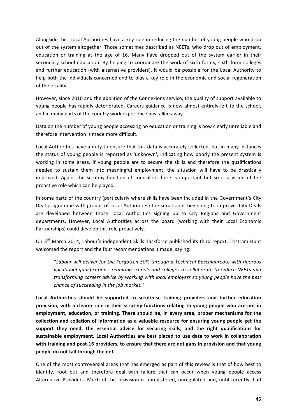Alongside this, Local Authorities have a key role in reducing the number of young people who drop out of the system altogether. Those sometimes described as NEETs, who drop out of employment, education or training at the age of 16. Many have dropped out of the system earlier in their secondary school education. By helping to coordinate the work of sixth forms, sixth form colleges and further education (with alternative providers), it would be possible for the Local Authority to help both the individuals concerned and to play a key role in the economic and social regeneration of the locality.

However, since 2010 and the abolition of the Connexions service, the quality of support available to young people has rapidly deteriorated. Careers guidance is now almost entirely left to the school, and in many parts of the country work experience has fallen away.

Data on the number of young people accessing no education or training is now clearly unreliable and therefore intervention is made more difficult.

Local Authorities have a duty to ensure that this data is accurately collected, but in many instances the status of young people is reported as 'unknown', indicating how poorly the present system is working in some areas. If young people are to secure the skills and therefore the qualifications needed to sustain them into meaningful employment, the situation will have to be drastically improved. Again, the scrutiny function of councillors here is important but so is a vision of the proactive role which can be played.

In some parts of the country (particularly where skills have been included in the Government's City Deal programme with groups of Local Authorities) the situation is beginning to improve. City Deals are developed between those Local Authorities signing up to City Regions and Government departments. However, Local Authorities across the board (working with their Local Economic Partnerships) could develop this role proactively.

On 3<sup>rd</sup> March 2014, Labour's independent Skills Taskforce published its third report. Tristram Hunt welcomed the report and the four recommendations it made, saying:

"Labour will deliver for the Forgotten 50% through a Technical Baccalaureate with rigorous vocational qualifications, requiring schools and colleges to collaborate to reduce NEETs and transforming careers advice by working with local employers so young people have the best *chance of succeeding in the job market."* 

Local Authorities should be supported to scrutinise training providers and further education provision, with a clearer role in their scrutiny functions relating to young people who are not in employment, education, or training. There should be, in every area, proper mechanisms for the collection and collation of information as a valuable resource for ensuring young people get the support they need, the essential advice for securing skills, and the right qualifications for sustainable employment. Local Authorities are best placed to use data to work in collaboration with training and post-16 providers, to ensure that there are not gaps in provision and that young people do not fall through the net.

One of the most controversial areas that has emerged as part of this review is that of how best to identify, root out and therefore deal with failure that can occur when young people access Alternative Providers. Much of this provision is unregistered, unregulated and, until recently, had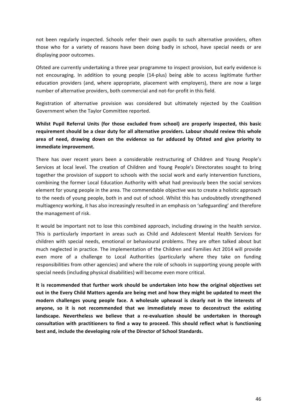not been regularly inspected. Schools refer their own pupils to such alternative providers, often those who for a variety of reasons have been doing badly in school, have special needs or are displaying poor outcomes.

Ofsted are currently undertaking a three year programme to inspect provision, but early evidence is not encouraging. In addition to young people (14-plus) being able to access legitimate further education providers (and, where appropriate, placement with employers), there are now a large number of alternative providers, both commercial and not-for-profit in this field.

Registration of alternative provision was considered but ultimately rejected by the Coalition Government when the Taylor Committee reported.

Whilst Pupil Referral Units (for those excluded from school) are properly inspected, this basic requirement should be a clear duty for all alternative providers. Labour should review this whole area of need, drawing down on the evidence so far adduced by Ofsted and give priority to **immediate improvement.** 

There has over recent years been a considerable restructuring of Children and Young People's Services at local level. The creation of Children and Young People's Directorates sought to bring together the provision of support to schools with the social work and early intervention functions, combining the former Local Education Authority with what had previously been the social services element for young people in the area. The commendable objective was to create a holistic approach to the needs of young people, both in and out of school. Whilst this has undoubtedly strengthened multiagency working, it has also increasingly resulted in an emphasis on 'safeguarding' and therefore the management of risk.

It would be important not to lose this combined approach, including drawing in the health service. This is particularly important in areas such as Child and Adolescent Mental Health Services for children with special needs, emotional or behavioural problems. They are often talked about but much neglected in practice. The implementation of the Children and Families Act 2014 will provide even more of a challenge to Local Authorities (particularly where they take on funding responsibilities from other agencies) and where the role of schools in supporting young people with special needs (including physical disabilities) will become even more critical.

It is recommended that further work should be undertaken into how the original objectives set out in the Every Child Matters agenda are being met and how they might be updated to meet the modern challenges young people face. A wholesale upheaval is clearly not in the interests of anyone, so it is not recommended that we immediately move to deconstruct the existing landscape. Nevertheless we believe that a re-evaluation should be undertaken in thorough consultation with practitioners to find a way to proceed. This should reflect what is functioning best and, include the developing role of the Director of School Standards.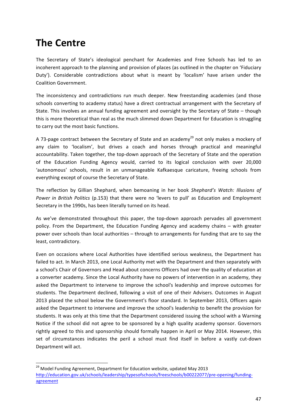# **The Centre**

The Secretary of State's ideological penchant for Academies and Free Schools has led to an incoherent approach to the planning and provision of places (as outlined in the chapter on 'Fiduciary Duty'). Considerable contradictions about what is meant by 'localism' have arisen under the Coalition Government.

The inconsistency and contradictions run much deeper. New freestanding academies (and those schools converting to academy status) have a direct contractual arrangement with the Secretary of State. This involves an annual funding agreement and oversight by the Secretary of State – though this is more theoretical than real as the much slimmed down Department for Education is struggling to carry out the most basic functions.

A 73-page contract between the Secretary of State and an academy<sup>29</sup> not only makes a mockery of any claim to 'localism', but drives a coach and horses through practical and meaningful accountability. Taken together, the top-down approach of the Secretary of State and the operation of the Education Funding Agency would, carried to its logical conclusion with over 20,000 'autonomous' schools, result in an unmanageable Kafkaesque caricature, freeing schools from everything except of course the Secretary of State.

The reflection by Gillian Shephard, when bemoaning in her book Shephard's Watch: Illusions of *Power in British Politics* (p.153) that there were no 'levers to pull' as Education and Employment Secretary in the 1990s, has been literally turned on its head.

As we've demonstrated throughout this paper, the top-down approach pervades all government policy. From the Department, the Education Funding Agency and academy chains - with greater power over schools than local authorities – through to arrangements for funding that are to say the least, contradictory.

Even on occasions where Local Authorities have identified serious weakness, the Department has failed to act. In March 2013, one Local Authority met with the Department and then separately with a school's Chair of Governors and Head about concerns Officers had over the quality of education at a converter academy. Since the Local Authority have no powers of intervention in an academy, they asked the Department to intervene to improve the school's leadership and improve outcomes for students. The Department declined, following a visit of one of their Advisers. Outcomes in August 2013 placed the school below the Government's floor standard. In September 2013, Officers again asked the Department to intervene and improve the school's leadership to benefit the provision for students. It was only at this time that the Department considered issuing the school with a Warning Notice if the school did not agree to be sponsored by a high quality academy sponsor. Governors rightly agreed to this and sponsorship should formally happen in April or May 2014. However, this set of circumstances indicates the peril a school must find itself in before a vastly cut-down Department will act.

<sup>&</sup>lt;sup>29</sup> Model Funding Agreement, Department for Education website, updated May 2013 http://education.gov.uk/schools/leadership/typesofschools/freeschools/b00222077/pre-opening/fundingagreement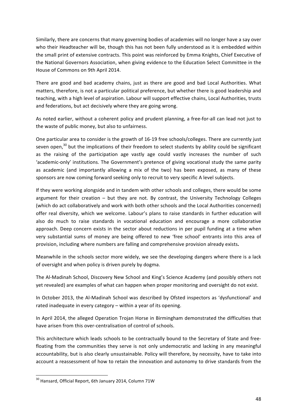Similarly, there are concerns that many governing bodies of academies will no longer have a say over who their Headteacher will be, though this has not been fully understood as it is embedded within the small print of extensive contracts. This point was reinforced by Emma Knights, Chief Executive of the National Governors Association, when giving evidence to the Education Select Committee in the House of Commons on 9th April 2014.

There are good and bad academy chains, just as there are good and bad Local Authorities. What matters, therefore, is not a particular political preference, but whether there is good leadership and teaching, with a high level of aspiration. Labour will support effective chains, Local Authorities, trusts and federations, but act decisively where they are going wrong.

As noted earlier, without a coherent policy and prudent planning, a free-for-all can lead not just to the waste of public money, but also to unfairness.

One particular area to consider is the growth of 16-19 free schools/colleges. There are currently just seven open, $30$  but the implications of their freedom to select students by ability could be significant as the raising of the participation age vastly age could vastly increases the number of such 'academic-only' institutions. The Government's pretence of giving vocational study the same parity as academic (and importantly allowing a mix of the two) has been exposed, as many of these sponsors are now coming forward seeking only to recruit to very specific A level subjects.

If they were working alongside and in tandem with other schools and colleges, there would be some argument for their creation  $-$  but they are not. By contrast, the University Technology Colleges (which do act collaboratively and work with both other schools and the Local Authorities concerned) offer real diversity, which we welcome. Labour's plans to raise standards in further education will also do much to raise standards in vocational education and encourage a more collaborative approach. Deep concern exists in the sector about reductions in per pupil funding at a time when very substantial sums of money are being offered to new 'free school' entrants into this area of provision, including where numbers are falling and comprehensive provision already exists.

Meanwhile in the schools sector more widely, we see the developing dangers where there is a lack of oversight and when policy is driven purely by dogma.

The Al-Madinah School, Discovery New School and King's Science Academy (and possibly others not yet revealed) are examples of what can happen when proper monitoring and oversight do not exist.

In October 2013, the Al-Madinah School was described by Ofsted inspectors as 'dysfunctional' and rated inadequate in every category  $-$  within a year of its opening.

In April 2014, the alleged Operation Trojan Horse in Birmingham demonstrated the difficulties that have arisen from this over-centralisation of control of schools.

This architecture which leads schools to be contractually bound to the Secretary of State and freefloating from the communities they serve is not only undemocratic and lacking in any meaningful accountability, but is also clearly unsustainable. Policy will therefore, by necessity, have to take into account a reassessment of how to retain the innovation and autonomy to drive standards from the

 $30$  Hansard, Official Report, 6th January 2014, Column 71W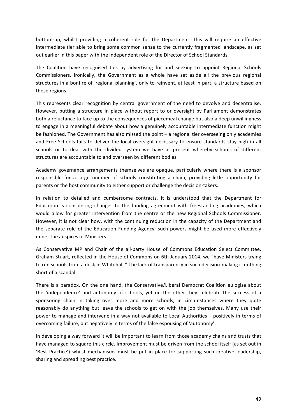bottom-up, whilst providing a coherent role for the Department. This will require an effective intermediate tier able to bring some common sense to the currently fragmented landscape, as set out earlier in this paper with the independent role of the Director of School Standards.

The Coalition have recognised this by advertising for and seeking to appoint Regional Schools Commissioners. Ironically, the Government as a whole have set aside all the previous regional structures in a bonfire of 'regional planning', only to reinvent, at least in part, a structure based on those regions.

This represents clear recognition by central government of the need to devolve and decentralise. However, putting a structure in place without report to or oversight by Parliament demonstrates both a reluctance to face up to the consequences of piecemeal change but also a deep unwillingness to engage in a meaningful debate about how a genuinely accountable intermediate function might be fashioned. The Government has also missed the point - a regional tier overseeing only academies and Free Schools fails to deliver the local oversight necessary to ensure standards stay high in all schools or to deal with the divided system we have at present whereby schools of different structures are accountable to and overseen by different bodies.

Academy governance arrangements themselves are opaque, particularly where there is a sponsor responsible for a large number of schools constituting a chain, providing little opportunity for parents or the host community to either support or challenge the decision-takers.

In relation to detailed and cumbersome contracts, it is understood that the Department for Education is considering changes to the funding agreement with freestanding academies, which would allow for greater intervention from the centre or the new Regional Schools Commissioner. However, it is not clear how, with the continuing reduction in the capacity of the Department and the separate role of the Education Funding Agency, such powers might be used more effectively under the auspices of Ministers.

As Conservative MP and Chair of the all-party House of Commons Education Select Committee, Graham Stuart, reflected in the House of Commons on 6th January 2014, we "have Ministers trying to run schools from a desk in Whitehall." The lack of transparency in such decision-making is nothing short of a scandal.

There is a paradox. On the one hand, the Conservative/Liberal Democrat Coalition eulogise about the 'independence' and autonomy of schools, yet on the other they celebrate the success of a sponsoring chain in taking over more and more schools, in circumstances where they quite reasonably do anything but leave the schools to get on with the job themselves. Many use their power to manage and intervene in a way not available to Local Authorities – positively in terms of overcoming failure, but negatively in terms of the false espousing of 'autonomy'.

In developing a way forward it will be important to learn from those academy chains and trusts that have managed to square this circle. Improvement must be driven from the school itself (as set out in 'Best Practice') whilst mechanisms must be put in place for supporting such creative leadership, sharing and spreading best practice.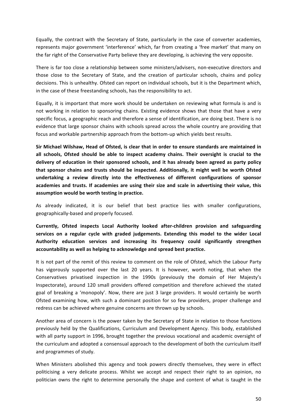Equally, the contract with the Secretary of State, particularly in the case of converter academies, represents major government 'interference' which, far from creating a 'free market' that many on the far right of the Conservative Party believe they are developing, is achieving the very opposite.

There is far too close a relationship between some ministers/advisers, non-executive directors and those close to the Secretary of State, and the creation of particular schools, chains and policy decisions. This is unhealthy. Ofsted can report on individual schools, but it is the Department which, in the case of these freestanding schools, has the responsibility to act.

Equally, it is important that more work should be undertaken on reviewing what formula is and is not working in relation to sponsoring chains. Existing evidence shows that those that have a very specific focus, a geographic reach and therefore a sense of identification, are doing best. There is no evidence that large sponsor chains with schools spread across the whole country are providing that focus and workable partnership approach from the bottom-up which vields best results.

Sir Michael Wilshaw, Head of Ofsted, is clear that in order to ensure standards are maintained in all schools, Ofsted should be able to inspect academy chains. Their oversight is crucial to the delivery of education in their sponsored schools, and it has already been agreed as party policy that sponsor chains and trusts should be inspected. Additionally, it might well be worth Ofsted undertaking a review directly into the effectiveness of different configurations of sponsor academies and trusts. If academies are using their size and scale in advertising their value, this assumption would be worth testing in practice.

As already indicated, it is our belief that best practice lies with smaller configurations, geographically-based and properly focused.

Currently, Ofsted inspects Local Authority looked after-children provision and safeguarding services on a regular cycle with graded judgements. Extending this model to the wider Local Authority education services and increasing its frequency could significantly strengthen accountability as well as helping to acknowledge and spread best practice.

It is not part of the remit of this review to comment on the role of Ofsted, which the Labour Party has vigorously supported over the last 20 years. It is however, worth noting, that when the Conservatives privatised inspection in the 1990s (previously the domain of Her Majesty's Inspectorate), around 120 small providers offered competition and therefore achieved the stated goal of breaking a 'monopoly'. Now, there are just 3 large providers. It would certainly be worth Ofsted examining how, with such a dominant position for so few providers, proper challenge and redress can be achieved where genuine concerns are thrown up by schools.

Another area of concern is the power taken by the Secretary of State in relation to those functions previously held by the Qualifications, Curriculum and Development Agency. This body, established with all party support in 1996, brought together the previous vocational and academic oversight of the curriculum and adopted a consensual approach to the development of both the curriculum itself and programmes of study.

When Ministers abolished this agency and took powers directly themselves, they were in effect politicising a very delicate process. Whilst we accept and respect their right to an opinion, no politician owns the right to determine personally the shape and content of what is taught in the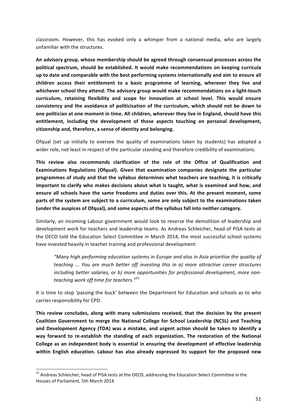classroom. However, this has evoked only a whimper from a national media, who are largely unfamiliar with the structures.

An advisory group, whose membership should be agreed through consensual processes across the political spectrum, should be established. It would make recommendations on keeping curricula up to date and comparable with the best performing systems internationally and aim to ensure all children access their entitlement to a basic programme of learning, wherever they live and whichever school they attend. The advisory group would make recommendations on a light-touch curriculum, retaining flexibility and scope for innovation at school level. This would ensure consistency and the avoidance of politicisation of the curriculum, which should not be down to one politician at one moment in time. All children, wherever they live in England, should have this entitlement, including the development of those aspects touching on personal development, citizenship and, therefore, a sense of identity and belonging.

Ofqual (set up initially to oversee the quality of examinations taken by students) has adopted a wider role, not least in respect of the particular standing and therefore credibility of examinations.

This review also recommends clarification of the role of the Office of Qualification and **Examinations Regulations (Ofqual). Given that examination companies designate the particular** programmes of study and that the syllabus determines what teachers are teaching, it is critically important to clarify who makes decisions about what is taught, what is examined and how, and ensure all schools have the same freedoms and duties over this. At the present moment, some parts of the system are subject to a curriculum, some are only subject to the examinations taken (under the auspices of Ofqual), and some aspects of the syllabus fall into neither category.

Similarly, an incoming Labour government would look to reverse the demolition of leadership and development work for teachers and leadership teams. As Andreas Schleicher, head of PISA tests at the OECD told the Education Select Committee in March 2014, the most successful school systems have invested heavily in teacher training and professional development:

"Many high performing education systems in Europe and also in Asia prioritise the quality of *teaching* ... You are much better off investing this in a) more attractive career structures including better salaries, or b) more opportunities for professional development, more non*teaching work off time for teachers."<sup>31</sup>*

It is time to stop 'passing the buck' between the Department for Education and schools as to who carries responsibility for CPD.

This review concludes, along with many submissions received, that the decision by the present Coalition Government to merge the National College for School Leadership (NCSL) and Teaching and Development Agency (TDA) was a mistake, and urgent action should be taken to identify a way forward to re-establish the standing of each organization. The restoration of the National College as an independent body is essential in ensuring the development of effective leadership within English education. Labour has also already expressed its support for the proposed new

 $31$  Andreas Schleicher, head of PISA tests at the OECD, addressing the Education Select Committee in the Houses of Parliament, 5th March 2014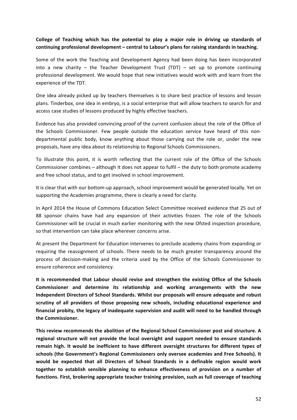### College of Teaching which has the potential to play a major role in driving up standards of continuing professional development – central to Labour's plans for raising standards in teaching.

Some of the work the Teaching and Development Agency had been doing has been incorporated into a new charity – the Teacher Development Trust (TDT) – set up to promote continuing professional development. We would hope that new initiatives would work with and learn from the experience of the TDT.

One idea already picked up by teachers themselves is to share best practice of lessons and lesson plans. Tinderbox, one idea in embryo, is a social enterprise that will allow teachers to search for and access case studies of lessons produced by highly effective teachers.

Evidence has also provided convincing proof of the current confusion about the role of the Office of the Schools Commissioner. Few people outside the education service have heard of this nondepartmental public body, know anything about those carrying out the role or, under the new proposals, have any idea about its relationship to Regional Schools Commissioners.

To illustrate this point, it is worth reflecting that the current role of the Office of the Schools Commissioner combines  $-$  although it does not appear to fulfil  $-$  the duty to both promote academy and free school status, and to get involved in school improvement.

It is clear that with our bottom-up approach, school improvement would be generated locally. Yet on supporting the Academies programme, there is clearly a need for clarity.

In April 2014 the House of Commons Education Select Committee received evidence that 25 out of 88 sponsor chains have had any expansion of their activities frozen. The role of the Schools Commissioner will be crucial in much earlier monitoring with the new Ofsted inspection procedure, so that intervention can take place wherever concerns arise.

At present the Department for Education intervenes to preclude academy chains from expanding or requiring the reassignment of schools. There needs to be much greater transparency around the process of decision-making and the criteria used by the Office of the Schools Commissioner to ensure coherence and consistency.

It is recommended that Labour should revise and strengthen the existing Office of the Schools Commissioner and determine its relationship and working arrangements with the new Independent Directors of School Standards. Whilst our proposals will ensure adequate and robust scrutiny of all providers of those proposing new schools, including educational experience and financial probity, the legacy of inadequate supervision and audit will need to be handled through **the Commissioner.**

This review recommends the abolition of the Regional School Commissioner post and structure. A regional structure will not provide the local oversight and support needed to ensure standards remain high. It would be inefficient to have different oversight structures for different types of schools (the Government's Regional Commissioners only oversee academies and Free Schools). It would be expected that all Directors of School Standards in a definable region would work together to establish sensible planning to enhance effectiveness of provision on a number of functions. First, brokering appropriate teacher training provision, such as full coverage of teaching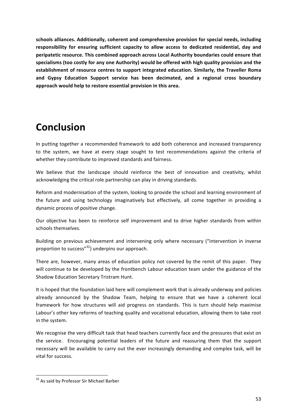schools alliances. Additionally, coherent and comprehensive provision for special needs, including responsibility for ensuring sufficient capacity to allow access to dedicated residential, day and peripatetic resource. This combined approach across Local Authority boundaries could ensure that specialisms (too costly for any one Authority) would be offered with high quality provision and the establishment of resource centres to support integrated education. Similarly, the Traveller Roma and Gypsy Education Support service has been decimated, and a regional cross boundary approach would help to restore essential provision in this area.

### **Conclusion**

In putting together a recommended framework to add both coherence and increased transparency to the system, we have at every stage sought to test recommendations against the criteria of whether they contribute to improved standards and fairness.

We believe that the landscape should reinforce the best of innovation and creativity, whilst acknowledging the critical role partnership can play in driving standards.

Reform and modernisation of the system, looking to provide the school and learning environment of the future and using technology imaginatively but effectively, all come together in providing a dynamic process of positive change.

Our objective has been to reinforce self improvement and to drive higher standards from within schools themselves.

Building on previous achievement and intervening only where necessary ("intervention in inverse proportion to success"<sup>32</sup>) underpins our approach.

There are, however, many areas of education policy not covered by the remit of this paper. They will continue to be developed by the frontbench Labour education team under the guidance of the Shadow Education Secretary Tristram Hunt.

It is hoped that the foundation laid here will complement work that is already underway and policies already announced by the Shadow Team, helping to ensure that we have a coherent local framework for how structures will aid progress on standards. This is turn should help maximise Labour's other key reforms of teaching quality and vocational education, allowing them to take root in the system.

We recognise the very difficult task that head teachers currently face and the pressures that exist on the service. Encouraging potential leaders of the future and reassuring them that the support necessary will be available to carry out the ever increasingly demanding and complex task, will be vital for success.

<sup>&</sup>lt;sup>32</sup> As said by Professor Sir Michael Barber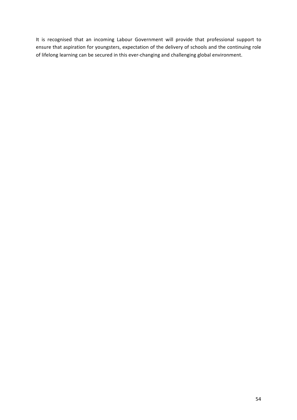It is recognised that an incoming Labour Government will provide that professional support to ensure that aspiration for youngsters, expectation of the delivery of schools and the continuing role of lifelong learning can be secured in this ever-changing and challenging global environment.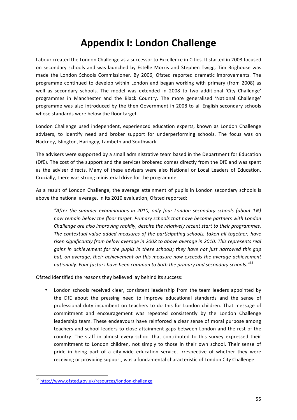# **Appendix I: London Challenge**

Labour created the London Challenge as a successor to Excellence in Cities. It started in 2003 focused on secondary schools and was launched by Estelle Morris and Stephen Twigg. Tim Brighouse was made the London Schools Commissioner. By 2006, Ofsted reported dramatic improvements. The programme continued to develop within London and began working with primary (from 2008) as well as secondary schools. The model was extended in 2008 to two additional 'City Challenge' programmes in Manchester and the Black Country. The more generalised 'National Challenge' programme was also introduced by the then Government in 2008 to all English secondary schools whose standards were below the floor target.

London Challenge used independent, experienced education experts, known as London Challenge advisers, to identify need and broker support for underperforming schools. The focus was on Hackney, Islington, Haringey, Lambeth and Southwark.

The advisers were supported by a small administrative team based in the Department for Education (DfE). The cost of the support and the services brokered comes directly from the DfE and was spent as the adviser directs. Many of these advisers were also National or Local Leaders of Education. Crucially, there was strong ministerial drive for the programme.

As a result of London Challenge, the average attainment of pupils in London secondary schools is above the national average. In its 2010 evaluation, Ofsted reported:

"After the summer examinations in 2010, only four London secondary schools (about 1%) now remain below the floor target. Primary schools that have become partners with London *Challenge are also improving rapidly, despite the relatively recent start to their programmes.* The contextual value-added measures of the participating schools, taken all together, have risen significantly from below average in 2008 to above average in 2010. This represents real *gains* in achievement for the pupils in these schools; they have not just narrowed this gap but, on average, their achievement on this measure now exceeds the average achievement nationally. Four factors have been common to both the primary and secondary schools."<sup>33</sup>

Ofsted identified the reasons they believed lay behind its success:

London schools received clear, consistent leadership from the team leaders appointed by the DfE about the pressing need to improve educational standards and the sense of professional duty incumbent on teachers to do this for London children. That message of commitment and encouragement was repeated consistently by the London Challenge leadership team. These endeavours have reinforced a clear sense of moral purpose among teachers and school leaders to close attainment gaps between London and the rest of the country. The staff in almost every school that contributed to this survey expressed their commitment to London children, not simply to those in their own school. Their sense of pride in being part of a city-wide education service, irrespective of whether they were receiving or providing support, was a fundamental characteristic of London City Challenge.

<sup>&</sup>lt;sup>33</sup> http://www.ofsted.gov.uk/resources/london-challenge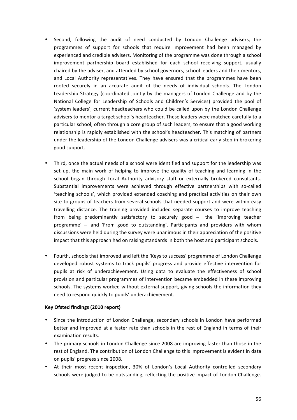- Second, following the audit of need conducted by London Challenge advisers, the programmes of support for schools that require improvement had been managed by experienced and credible advisers. Monitoring of the programme was done through a school improvement partnership board established for each school receiving support, usually chaired by the adviser, and attended by school governors, school leaders and their mentors, and Local Authority representatives. They have ensured that the programmes have been rooted securely in an accurate audit of the needs of individual schools. The London Leadership Strategy (coordinated jointly by the managers of London Challenge and by the National College for Leadership of Schools and Children's Services) provided the pool of 'system leaders', current headteachers who could be called upon by the London Challenge advisers to mentor a target school's headteacher. These leaders were matched carefully to a particular school, often through a core group of such leaders, to ensure that a good working relationship is rapidly established with the school's headteacher. This matching of partners under the leadership of the London Challenge advisers was a critical early step in brokering good support.
- Third, once the actual needs of a school were identified and support for the leadership was set up, the main work of helping to improve the quality of teaching and learning in the school began through Local Authority advisory staff or externally brokered consultants. Substantial improvements were achieved through effective partnerships with so-called 'teaching schools', which provided extended coaching and practical activities on their own site to groups of teachers from several schools that needed support and were within easy travelling distance. The training provided included separate courses to improve teaching from being predominantly satisfactory to securely good – the 'Improving teacher programme' - and 'From good to outstanding'. Participants and providers with whom discussions were held during the survey were unanimous in their appreciation of the positive impact that this approach had on raising standards in both the host and participant schools.
- Fourth, schools that improved and left the 'Keys to success' programme of London Challenge developed robust systems to track pupils' progress and provide effective intervention for pupils at risk of underachievement. Using data to evaluate the effectiveness of school provision and particular programmes of intervention became embedded in these improving schools. The systems worked without external support, giving schools the information they need to respond quickly to pupils' underachievement.

### **Key Ofsted findings (2010 report)**

- Since the introduction of London Challenge, secondary schools in London have performed better and improved at a faster rate than schools in the rest of England in terms of their examination results.
- The primary schools in London Challenge since 2008 are improving faster than those in the rest of England. The contribution of London Challenge to this improvement is evident in data on pupils' progress since 2008.
- At their most recent inspection, 30% of London's Local Authority controlled secondary schools were judged to be outstanding, reflecting the positive impact of London Challenge.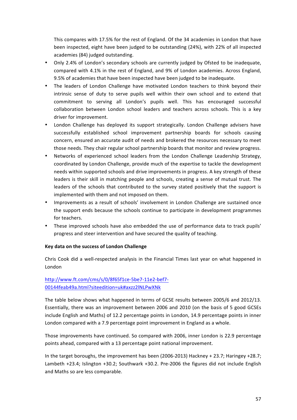This compares with 17.5% for the rest of England. Of the 34 academies in London that have been inspected, eight have been judged to be outstanding (24%), with 22% of all inspected academies (84) judged outstanding.

- Only 2.4% of London's secondary schools are currently judged by Ofsted to be inadequate, compared with 4.1% in the rest of England, and 9% of London academies. Across England, 9.5% of academies that have been inspected have been judged to be inadequate.
- The leaders of London Challenge have motivated London teachers to think beyond their intrinsic sense of duty to serve pupils well within their own school and to extend that commitment to serving all London's pupils well. This has encouraged successful collaboration between London school leaders and teachers across schools. This is a key driver for improvement.
- London Challenge has deployed its support strategically. London Challenge advisers have successfully established school improvement partnership boards for schools causing concern, ensured an accurate audit of needs and brokered the resources necessary to meet those needs. They chair regular school partnership boards that monitor and review progress.
- Networks of experienced school leaders from the London Challenge Leadership Strategy, coordinated by London Challenge, provide much of the expertise to tackle the development needs within supported schools and drive improvements in progress. A key strength of these leaders is their skill in matching people and schools, creating a sense of mutual trust. The leaders of the schools that contributed to the survey stated positively that the support is implemented with them and not imposed on them.
- Improvements as a result of schools' involvement in London Challenge are sustained once the support ends because the schools continue to participate in development programmes for teachers.
- These improved schools have also embedded the use of performance data to track pupils' progress and steer intervention and have secured the quality of teaching.

### **Key data on the success of London Challenge**

Chris Cook did a well-respected analysis in the Financial Times last year on what happened in London

### http://www.ft.com/cms/s/0/8f65f1ce-5be7-11e2-bef7- 00144feab49a.html?siteedition=uk#axzz2lNLPwXNk

The table below shows what happened in terms of GCSE results between 2005/6 and 2012/13. Essentially, there was an improvement between 2006 and 2010 (on the basis of 5 good GCSEs include English and Maths) of 12.2 percentage points in London, 14.9 percentage points in inner London compared with a 7.9 percentage point improvement in England as a whole.

Those improvements have continued. So compared with 2006, inner London is 22.9 percentage points ahead, compared with a 13 percentage point national improvement.

In the target boroughs, the improvement has been (2006-2013) Hackney + 23.7; Haringey +28.7; Lambeth +23.4; Islington +30.2; Southwark +30.2. Pre-2006 the figures did not include English and Maths so are less comparable.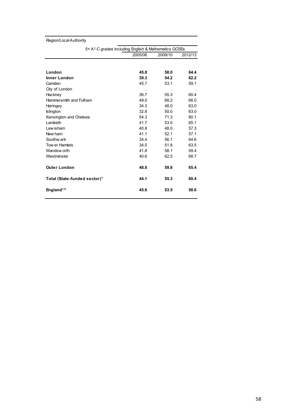| Region/Local Authority                               |         |         |         |
|------------------------------------------------------|---------|---------|---------|
| 5+ A*-C grades including English & Mathematics GCSEs |         |         |         |
|                                                      | 2005/06 | 2009/10 | 2012/13 |
|                                                      |         |         |         |
| London                                               | 45.8    | 58.0    | 64.4    |
| <b>Inner London</b>                                  | 39.3    | 54.2    | 62.2    |
| Camden                                               | 45.7    | 53.1    | 59.1    |
| City of London                                       |         |         |         |
| Hackney                                              | 36.7    | 55.3    | 60.4    |
| Hammersmith and Fulham                               | 49.0    | 68.2    | 66.0    |
| Haringey                                             | 34.3    | 48.0    | 63.0    |
| <b>Islington</b>                                     | 32.8    | 50.0    | 63.0    |
| Kensington and Chelsea                               | 54.3    | 71.3    | 80.1    |
| Lambeth                                              | 41.7    | 53.0    | 65.1    |
| Lew isham                                            | 40.8    | 48.0    | 57.3    |
| New ham                                              | 41.1    | 52.1    | 57.1    |
| Southw ark                                           | 34.4    | 56.1    | 64.6    |
| Tow er Hamlets                                       | 34.0    | 51.8    | 63.5    |
| Wandsw orth                                          | 41.8    | 58.1    | 59.4    |
| Westminster                                          | 40.6    | 62.5    | 68.7    |
| <b>Outer London</b>                                  | 48.8    | 59.8    | 65.4    |
| Total (State-funded sector) <sup>1</sup>             | 44.1    | 55.3    | 60.4    |
| England <sup>1,4</sup>                               | 45.6    | 53.5    | 58.6    |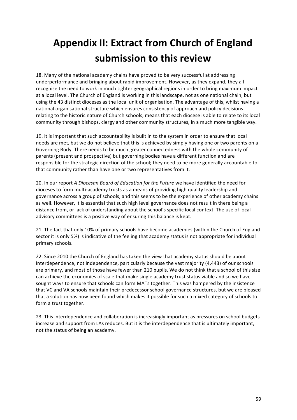# **Appendix II: Extract from Church of England submission to this review**

18. Many of the national academy chains have proved to be very successful at addressing underperformance and bringing about rapid improvement. However, as they expand, they all recognise the need to work in much tighter geographical regions in order to bring maximum impact at a local level. The Church of England is working in this landscape, not as one national chain, but using the 43 distinct dioceses as the local unit of organisation. The advantage of this, whilst having a national organisational structure which ensures consistency of approach and policy decisions relating to the historic nature of Church schools, means that each diocese is able to relate to its local community through bishops, clergy and other community structures, in a much more tangible way.

19. It is important that such accountability is built in to the system in order to ensure that local needs are met, but we do not believe that this is achieved by simply having one or two parents on a Governing Body. There needs to be much greater connectedness with the whole community of parents (present and prospective) but governing bodies have a different function and are responsible for the strategic direction of the school; they need to be more generally accountable to that community rather than have one or two representatives from it.

20. In our report *A Diocesan Board of Education for the Future* we have identified the need for dioceses to form multi-academy trusts as a means of providing high quality leadership and governance across a group of schools, and this seems to be the experience of other academy chains as well. However, it is essential that such high level governance does not result in there being a distance from, or lack of understanding about the school's specific local context. The use of local advisory committees is a positive way of ensuring this balance is kept.

21. The fact that only 10% of primary schools have become academies (within the Church of England sector it is only 5%) is indicative of the feeling that academy status is not appropriate for individual primary schools.

22. Since 2010 the Church of England has taken the view that academy status should be about interdependence, not independence, particularly because the vast majority (4,443) of our schools are primary, and most of those have fewer than 210 pupils. We do not think that a school of this size can achieve the economies of scale that make single academy trust status viable and so we have sought ways to ensure that schools can form MATs together. This was hampered by the insistence that VC and VA schools maintain their predecessor school governance structures, but we are pleased that a solution has now been found which makes it possible for such a mixed category of schools to form a trust together.

23. This interdependence and collaboration is increasingly important as pressures on school budgets increase and support from LAs reduces. But it is the interdependence that is ultimately important, not the status of being an academy.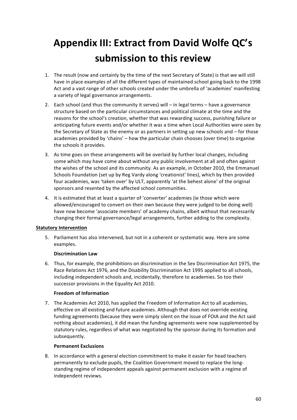# **Appendix III: Extract from David Wolfe QC's** submission to this review

- 1. The result (now and certainly by the time of the next Secretary of State) is that we will still have in place examples of all the different types of maintained school going back to the 1998 Act and a vast range of other schools created under the umbrella of 'academies' manifesting a variety of legal governance arrangements.
- 2. Each school (and thus the community it serves) will  $-$  in legal terms  $-$  have a governance structure based on the particular circumstances and political climate at the time and the reasons for the school's creation, whether that was rewarding success, punishing failure or anticipating future events and/or whether it was a time when Local Authorities were seen by the Secretary of State as the enemy or as partners in setting up new schools and  $-$  for those academies provided by 'chains' – how the particular chain chooses (over time) to organise the schools it provides.
- 3. As time goes on these arrangements will be overlaid by further local changes, including some which may have come about without any public involvement at all and often against the wishes of the school and its community. As an example, in October 2010, the Emmanuel Schools Foundation (set up by Reg Vardy along 'creationist' lines), which by then provided four academies, was 'taken over' by ULT, apparently 'at the behest alone' of the original sponsors and resented by the affected school communities.
- 4. It is estimated that at least a quarter of 'converter' academies (ie those which were allowed/encouraged to convert on their own because they were judged to be doing well) have now become 'associate members' of academy chains, albeit without that necessarily changing their formal governance/legal arrangements, further adding to the complexity.

### **Statutory Intervention**

5. Parliament has also intervened, but not in a coherent or systematic way. Here are some examples.

### **Discrimination Law**

6. Thus, for example, the prohibitions on discrimination in the Sex Discrimination Act 1975, the Race Relations Act 1976, and the Disability Discrimination Act 1995 applied to all schools, including independent schools and, incidentally, therefore to academies. So too their successor provisions in the Equality Act 2010.

### **Freedom of Information**

7. The Academies Act 2010, has applied the Freedom of Information Act to all academies, effective on all existing and future academies. Although that does not override existing funding agreements (because they were simply silent on the issue of FOIA and the Act said nothing about academies), it did mean the funding agreements were now supplemented by statutory rules, regardless of what was negotiated by the sponsor during its formation and subsequently.

### **Permanent Exclusions**

8. In accordance with a general election commitment to make it easier for head teachers permanently to exclude pupils, the Coalition Government moved to replace the longstanding regime of independent appeals against permanent exclusion with a regime of independent reviews.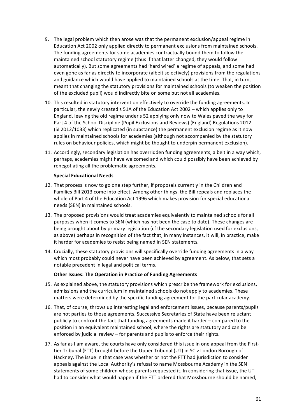- 9. The legal problem which then arose was that the permanent exclusion/appeal regime in Education Act 2002 only applied directly to permanent exclusions from maintained schools. The funding agreements for some academies contractually bound them to follow the maintained school statutory regime (thus if that latter changed, they would follow automatically). But some agreements had 'hard wired' a regime of appeals, and some had even gone as far as directly to incorporate (albeit selectively) provisions from the regulations and guidance which would have applied to maintained schools at the time. That, in turn, meant that changing the statutory provisions for maintained schools (to weaken the position of the excluded pupil) would indirectly bite on some but not all academies.
- 10. This resulted in statutory intervention effectively to override the funding agreements. In particular, the newly created  $s$  51A of the Education Act 2002 – which applies only to England, leaving the old regime under s 52 applying only now to Wales paved the way for Part 4 of the School Discipline (Pupil Exclusions and Reviews) (England) Regulations 2012 (SI 2012/1033) which replicated (in substance) the permanent exclusion regime as it now applies in maintained schools for academies (although not accompanied by the statutory rules on behaviour policies, which might be thought to underpin permanent exclusion).
- 11. Accordingly, secondary legislation has overridden funding agreements, albeit in a way which, perhaps, academies might have welcomed and which could possibly have been achieved by renegotiating all the problematic agreements.

### **Special Educational Needs**

- 12. That process is now to go one step further, if proposals currently in the Children and Families Bill 2013 come into effect. Among other things, the Bill repeals and replaces the whole of Part 4 of the Education Act 1996 which makes provision for special educational needs (SEN) in maintained schools.
- 13. The proposed provisions would treat academies equivalently to maintained schools for all purposes when it comes to SEN (which has not been the case to date). These changes are being brought about by primary legislation (cf the secondary legislation used for exclusions, as above) perhaps in recognition of the fact that, in many instances, it will, in practice, make it harder for academies to resist being named in SEN statements.
- 14. Crucially, these statutory provisions will specifically override funding agreements in a way which most probably could never have been achieved by agreement. As below, that sets a notable precedent in legal and political terms.

### **Other Issues: The Operation in Practice of Funding Agreements**

- 15. As explained above, the statutory provisions which prescribe the framework for exclusions, admissions and the curriculum in maintained schools do not apply to academies. These matters were determined by the specific funding agreement for the particular academy.
- 16. That, of course, throws up interesting legal and enforcement issues, because parents/pupils are not parties to those agreements. Successive Secretaries of State have been reluctant publicly to confront the fact that funding agreements made it harder – compared to the position in an equivalent maintained school, where the rights are statutory and can be enforced by judicial review  $-$  for parents and pupils to enforce their rights.
- 17. As far as I am aware, the courts have only considered this issue in one appeal from the Firsttier Tribunal (FTT) brought before the Upper Tribunal (UT) in SC v London Borough of Hackney. The issue in that case was whether or not the FTT had jurisdiction to consider appeals against the Local Authority's refusal to name Mossbourne Academy in the SEN statements of some children whose parents requested it. In considering that issue, the UT had to consider what would happen if the FTT ordered that Mossbourne should be named,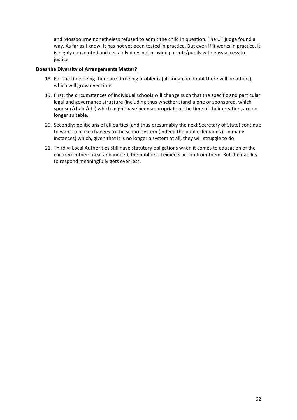and Mossbourne nonetheless refused to admit the child in question. The UT judge found a way. As far as I know, it has not yet been tested in practice. But even if it works in practice, it is highly convoluted and certainly does not provide parents/pupils with easy access to justice.

### **Does the Diversity of Arrangements Matter?**

- 18. For the time being there are three big problems (although no doubt there will be others), which will grow over time:
- 19. First: the circumstances of individual schools will change such that the specific and particular legal and governance structure (including thus whether stand-alone or sponsored, which sponsor/chain/etc) which might have been appropriate at the time of their creation, are no longer suitable.
- 20. Secondly: politicians of all parties (and thus presumably the next Secretary of State) continue to want to make changes to the school system (indeed the public demands it in many instances) which, given that it is no longer a system at all, they will struggle to do.
- 21. Thirdly: Local Authorities still have statutory obligations when it comes to education of the children in their area; and indeed, the public still expects action from them. But their ability to respond meaningfully gets ever less.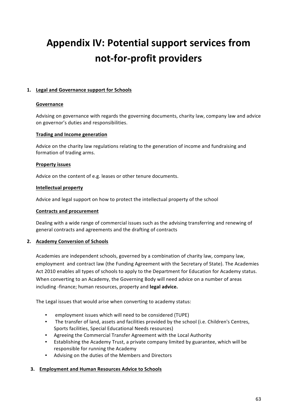# **Appendix IV: Potential support services from not-for-profit providers**

### 1. Legal and Governance support for Schools

### **Governance**

Advising on governance with regards the governing documents, charity law, company law and advice on governor's duties and responsibilities.

### **Trading and Income generation**

Advice on the charity law regulations relating to the generation of income and fundraising and formation of trading arms.

### **Property issues**

Advice on the content of e.g. leases or other tenure documents.

### **Intellectual property**

Advice and legal support on how to protect the intellectual property of the school

### **Contracts and procurement**

Dealing with a wide range of commercial issues such as the advising transferring and renewing of general contracts and agreements and the drafting of contracts

### **2.** Academy Conversion of Schools

Academies are independent schools, governed by a combination of charity law, company law, employment and contract law (the Funding Agreement with the Secretary of State). The Academies Act 2010 enables all types of schools to apply to the Department for Education for Academy status. When converting to an Academy, the Governing Body will need advice on a number of areas including -finance; human resources, property and **legal advice.** 

The Legal issues that would arise when converting to academy status:

- employment issues which will need to be considered (TUPE)
- The transfer of land, assets and facilities provided by the school (i.e. Children's Centres, Sports facilities, Special Educational Needs resources)
- Agreeing the Commercial Transfer Agreement with the Local Authority
- Establishing the Academy Trust, a private company limited by guarantee, which will be responsible for running the Academy
- Advising on the duties of the Members and Directors

### **3.** Employment and Human Resources Advice to Schools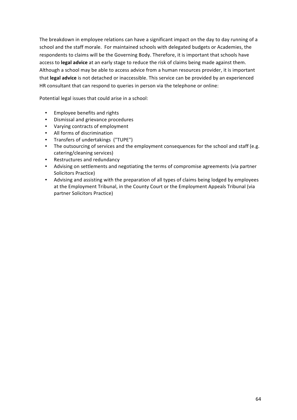The breakdown in employee relations can have a significant impact on the day to day running of a school and the staff morale. For maintained schools with delegated budgets or Academies, the respondents to claims will be the Governing Body. Therefore, it is important that schools have access to *legal advice* at an early stage to reduce the risk of claims being made against them. Although a school may be able to access advice from a human resources provider, it is important that **legal advice** is not detached or inaccessible. This service can be provided by an experienced HR consultant that can respond to queries in person via the telephone or online:

Potential legal issues that could arise in a school:

- Employee benefits and rights
- Dismissal and grievance procedures
- Varying contracts of employment
- All forms of discrimination
- Transfers of undertakings ("TUPE")
- The outsourcing of services and the employment consequences for the school and staff (e.g. catering/cleaning services)
- Restructures and redundancy
- Advising on settlements and negotiating the terms of compromise agreements (via partner Solicitors Practice)
- Advising and assisting with the preparation of all types of claims being lodged by employees at the Employment Tribunal, in the County Court or the Employment Appeals Tribunal (via partner Solicitors Practice)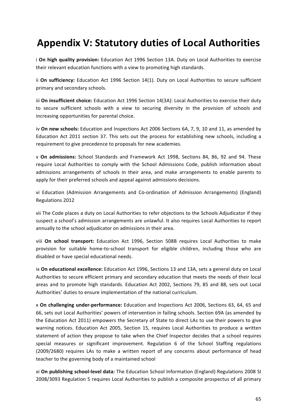# **Appendix V: Statutory duties of Local Authorities**

i **On high quality provision:** Education Act 1996 Section 13A. Duty on Local Authorities to exercise their relevant education functions with a view to promoting high standards.

ii On sufficiency: Education Act 1996 Section 14(1). Duty on Local Authorities to secure sufficient primary and secondary schools.

iii On insufficient choice: Education Act 1996 Section 14(3A): Local Authorities to exercise their duty to secure sufficient schools with a view to securing diversity in the provision of schools and increasing opportunities for parental choice.

iv **On new schools:** Education and Inspections Act 2006 Sections 6A, 7, 9, 10 and 11, as amended by Education Act 2011 section 37. This sets out the process for establishing new schools, including a requirement to give precedence to proposals for new academies.

v **On admissions:** School Standards and Framework Act 1998, Sections 84, 86, 92 and 94. These require Local Authorities to comply with the School Admissions Code, publish information about admissions arrangements of schools in their area, and make arrangements to enable parents to apply for their preferred schools and appeal against admissions decisions.

vi Education (Admission Arrangements and Co-ordination of Admission Arrangements) (England) Regulations 2012 

vii The Code places a duty on Local Authorities to refer objections to the Schools Adjudicator if they suspect a school's admission arrangements are unlawful. It also requires Local Authorities to report annually to the school adjudicator on admissions in their area.

viii **On school transport:** Education Act 1996, Section 508B requires Local Authorities to make provision for suitable home-to-school transport for eligible children, including those who are disabled or have special educational needs.

ix **On educational excellence:** Education Act 1996, Sections 13 and 13A, sets a general duty on Local Authorities to secure efficient primary and secondary education that meets the needs of their local areas and to promote high standards. Education Act 2002, Sections 79, 85 and 88, sets out Local Authorities' duties to ensure implementation of the national curriculum.

x **On challenging under-performance:** Education and Inspections Act 2006, Sections 63, 64, 65 and 66, sets out Local Authorities' powers of intervention in failing schools. Section 69A (as amended by the Education Act 2011) empowers the Secretary of State to direct LAs to use their powers to give warning notices. Education Act 2005, Section 15, requires Local Authorities to produce a written statement of action they propose to take when the Chief Inspector decides that a school requires special measures or significant improvement. Regulation 6 of the School Staffing regulations (2009/2680) requires LAs to make a written report of any concerns about performance of head teacher to the governing body of a maintained school

xi **On publishing school-level data:** The Education School Information (England) Regulations 2008 SI 2008/3093 Regulation 5 requires Local Authorities to publish a composite prospectus of all primary